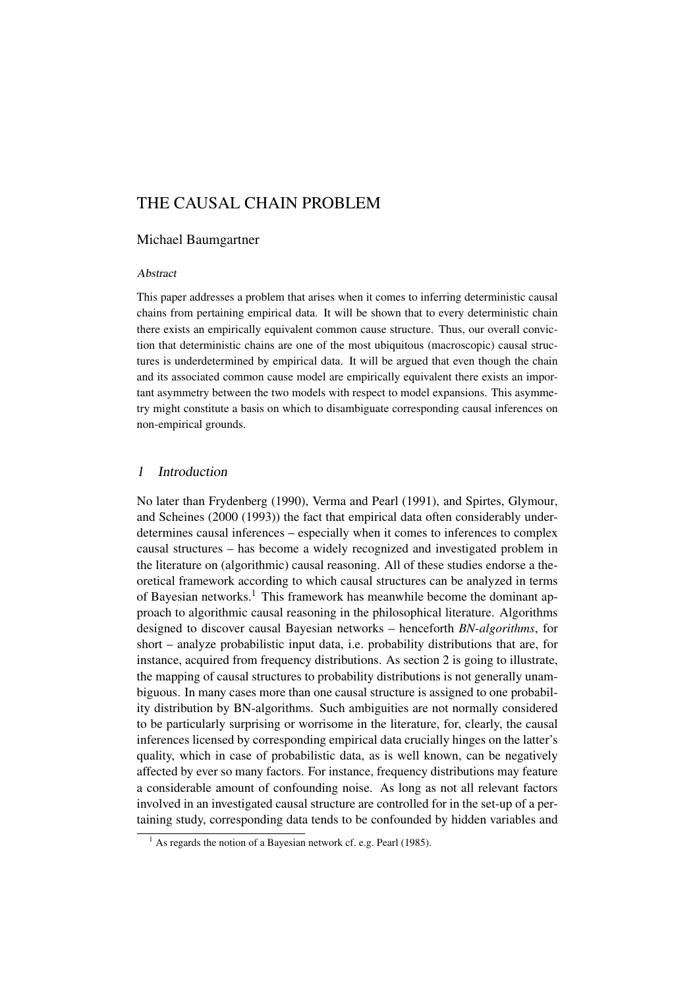# THE CAUSAL CHAIN PROBLEM

#### Michael Baumgartner

#### Abstract

This paper addresses a problem that arises when it comes to inferring deterministic causal chains from pertaining empirical data. It will be shown that to every deterministic chain there exists an empirically equivalent common cause structure. Thus, our overall conviction that deterministic chains are one of the most ubiquitous (macroscopic) causal structures is underdetermined by empirical data. It will be argued that even though the chain and its associated common cause model are empirically equivalent there exists an important asymmetry between the two models with respect to model expansions. This asymmetry might constitute a basis on which to disambiguate corresponding causal inferences on non-empirical grounds.

## 1 Introduction

No later than Frydenberg (1990), Verma and Pearl (1991), and Spirtes, Glymour, and Scheines (2000 (1993)) the fact that empirical data often considerably underdetermines causal inferences – especially when it comes to inferences to complex causal structures – has become a widely recognized and investigated problem in the literature on (algorithmic) causal reasoning. All of these studies endorse a theoretical framework according to which causal structures can be analyzed in terms of Bayesian networks.<sup>1</sup> This framework has meanwhile become the dominant approach to algorithmic causal reasoning in the philosophical literature. Algorithms designed to discover causal Bayesian networks – henceforth *BN-algorithms*, for short – analyze probabilistic input data, i.e. probability distributions that are, for instance, acquired from frequency distributions. As section 2 is going to illustrate, the mapping of causal structures to probability distributions is not generally unambiguous. In many cases more than one causal structure is assigned to one probability distribution by BN-algorithms. Such ambiguities are not normally considered to be particularly surprising or worrisome in the literature, for, clearly, the causal inferences licensed by corresponding empirical data crucially hinges on the latter's quality, which in case of probabilistic data, as is well known, can be negatively affected by ever so many factors. For instance, frequency distributions may feature a considerable amount of confounding noise. As long as not all relevant factors involved in an investigated causal structure are controlled for in the set-up of a pertaining study, corresponding data tends to be confounded by hidden variables and

<sup>&</sup>lt;sup>1</sup> As regards the notion of a Bayesian network cf. e.g. Pearl (1985).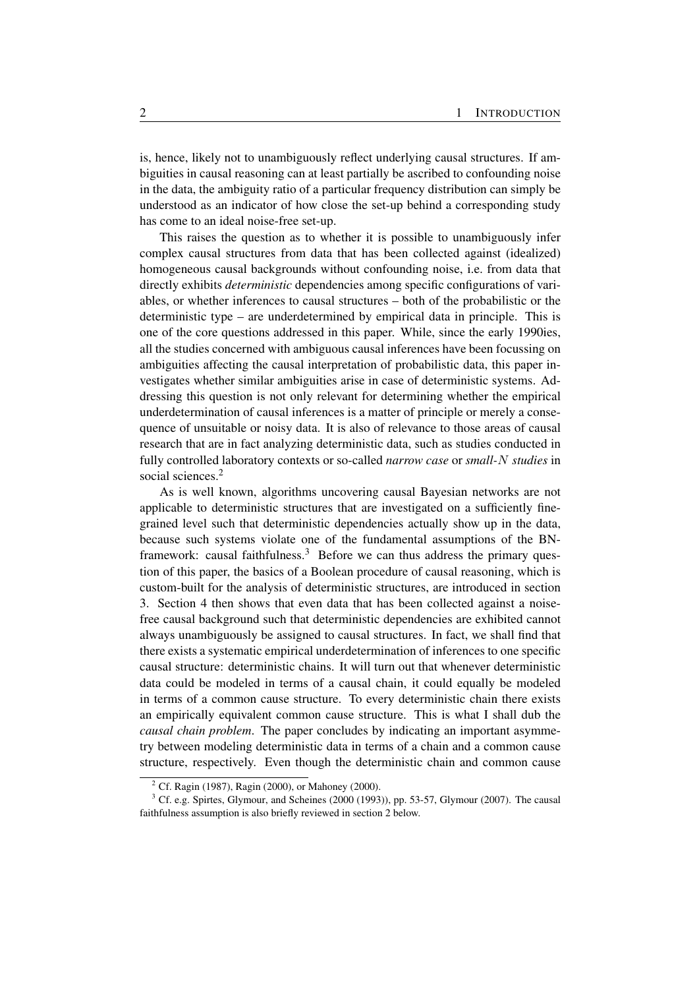is, hence, likely not to unambiguously reflect underlying causal structures. If ambiguities in causal reasoning can at least partially be ascribed to confounding noise in the data, the ambiguity ratio of a particular frequency distribution can simply be understood as an indicator of how close the set-up behind a corresponding study has come to an ideal noise-free set-up.

This raises the question as to whether it is possible to unambiguously infer complex causal structures from data that has been collected against (idealized) homogeneous causal backgrounds without confounding noise, i.e. from data that directly exhibits *deterministic* dependencies among specific configurations of variables, or whether inferences to causal structures – both of the probabilistic or the deterministic type – are underdetermined by empirical data in principle. This is one of the core questions addressed in this paper. While, since the early 1990ies, all the studies concerned with ambiguous causal inferences have been focussing on ambiguities affecting the causal interpretation of probabilistic data, this paper investigates whether similar ambiguities arise in case of deterministic systems. Addressing this question is not only relevant for determining whether the empirical underdetermination of causal inferences is a matter of principle or merely a consequence of unsuitable or noisy data. It is also of relevance to those areas of causal research that are in fact analyzing deterministic data, such as studies conducted in fully controlled laboratory contexts or so-called *narrow case* or *small-*N *studies* in social sciences.<sup>2</sup>

As is well known, algorithms uncovering causal Bayesian networks are not applicable to deterministic structures that are investigated on a sufficiently finegrained level such that deterministic dependencies actually show up in the data, because such systems violate one of the fundamental assumptions of the BNframework: causal faithfulness.<sup>3</sup> Before we can thus address the primary question of this paper, the basics of a Boolean procedure of causal reasoning, which is custom-built for the analysis of deterministic structures, are introduced in section 3. Section 4 then shows that even data that has been collected against a noisefree causal background such that deterministic dependencies are exhibited cannot always unambiguously be assigned to causal structures. In fact, we shall find that there exists a systematic empirical underdetermination of inferences to one specific causal structure: deterministic chains. It will turn out that whenever deterministic data could be modeled in terms of a causal chain, it could equally be modeled in terms of a common cause structure. To every deterministic chain there exists an empirically equivalent common cause structure. This is what I shall dub the *causal chain problem*. The paper concludes by indicating an important asymmetry between modeling deterministic data in terms of a chain and a common cause structure, respectively. Even though the deterministic chain and common cause

<sup>&</sup>lt;sup>2</sup> Cf. Ragin (1987), Ragin (2000), or Mahoney (2000).

 $3$  Cf. e.g. Spirtes, Glymour, and Scheines (2000 (1993)), pp. 53-57, Glymour (2007). The causal faithfulness assumption is also briefly reviewed in section 2 below.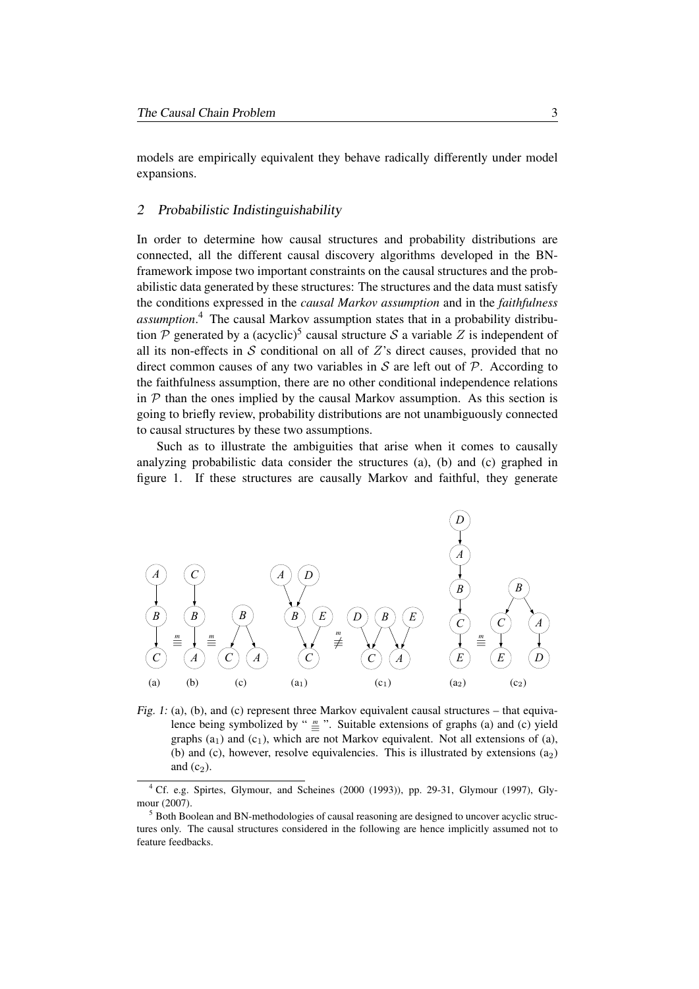models are empirically equivalent they behave radically differently under model expansions.

#### 2 Probabilistic Indistinguishability

In order to determine how causal structures and probability distributions are connected, all the different causal discovery algorithms developed in the BNframework impose two important constraints on the causal structures and the probabilistic data generated by these structures: The structures and the data must satisfy the conditions expressed in the *causal Markov assumption* and in the *faithfulness assumption*. <sup>4</sup> The causal Markov assumption states that in a probability distribution P generated by a (acyclic)<sup>5</sup> causal structure S a variable Z is independent of all its non-effects in  $S$  conditional on all of  $Z$ 's direct causes, provided that no direct common causes of any two variables in S are left out of  $P$ . According to the faithfulness assumption, there are no other conditional independence relations in  $\mathcal P$  than the ones implied by the causal Markov assumption. As this section is going to briefly review, probability distributions are not unambiguously connected to causal structures by these two assumptions.

Such as to illustrate the ambiguities that arise when it comes to causally analyzing probabilistic data consider the structures (a), (b) and (c) graphed in figure 1. If these structures are causally Markov and faithful, they generate



Fig. 1: (a), (b), and (c) represent three Markov equivalent causal structures – that equivalence being symbolized by " $\equiv$ ". Suitable extensions of graphs (a) and (c) yield graphs (a<sub>1</sub>) and (c<sub>1</sub>), which are not Markov equivalent. Not all extensions of (a), (b) and (c), however, resolve equivalencies. This is illustrated by extensions  $(a_2)$ and  $(c_2)$ .

<sup>4</sup> Cf. e.g. Spirtes, Glymour, and Scheines (2000 (1993)), pp. 29-31, Glymour (1997), Glymour (2007).

<sup>5</sup> Both Boolean and BN-methodologies of causal reasoning are designed to uncover acyclic structures only. The causal structures considered in the following are hence implicitly assumed not to feature feedbacks.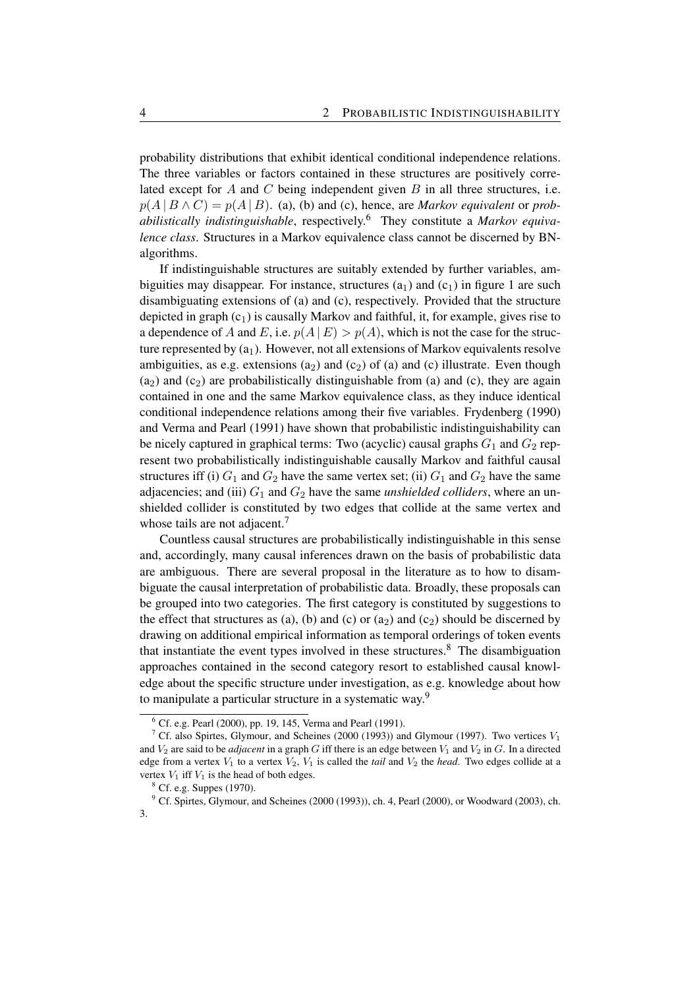probability distributions that exhibit identical conditional independence relations. The three variables or factors contained in these structures are positively correlated except for  $A$  and  $C$  being independent given  $B$  in all three structures, i.e.  $p(A | B \wedge C) = p(A | B)$ . (a), (b) and (c), hence, are *Markov equivalent* or *probabilistically indistinguishable*, respectively.<sup>6</sup> They constitute a *Markov equivalence class*. Structures in a Markov equivalence class cannot be discerned by BNalgorithms.

If indistinguishable structures are suitably extended by further variables, ambiguities may disappear. For instance, structures  $(a_1)$  and  $(c_1)$  in figure 1 are such disambiguating extensions of (a) and (c), respectively. Provided that the structure depicted in graph  $(c_1)$  is causally Markov and faithful, it, for example, gives rise to a dependence of A and E, i.e.  $p(A \mid E) > p(A)$ , which is not the case for the structure represented by  $(a_1)$ . However, not all extensions of Markov equivalents resolve ambiguities, as e.g. extensions  $(a_2)$  and  $(c_2)$  of  $(a)$  and  $(c)$  illustrate. Even though  $(a_2)$  and  $(c_2)$  are probabilistically distinguishable from (a) and (c), they are again contained in one and the same Markov equivalence class, as they induce identical conditional independence relations among their five variables. Frydenberg (1990) and Verma and Pearl (1991) have shown that probabilistic indistinguishability can be nicely captured in graphical terms: Two (acyclic) causal graphs  $G_1$  and  $G_2$  represent two probabilistically indistinguishable causally Markov and faithful causal structures iff (i)  $G_1$  and  $G_2$  have the same vertex set; (ii)  $G_1$  and  $G_2$  have the same adjacencies; and (iii)  $G_1$  and  $G_2$  have the same *unshielded colliders*, where an unshielded collider is constituted by two edges that collide at the same vertex and whose tails are not adjacent.<sup>7</sup>

Countless causal structures are probabilistically indistinguishable in this sense and, accordingly, many causal inferences drawn on the basis of probabilistic data are ambiguous. There are several proposal in the literature as to how to disambiguate the causal interpretation of probabilistic data. Broadly, these proposals can be grouped into two categories. The first category is constituted by suggestions to the effect that structures as (a), (b) and (c) or (a<sub>2</sub>) and (c<sub>2</sub>) should be discerned by drawing on additional empirical information as temporal orderings of token events that instantiate the event types involved in these structures.<sup>8</sup> The disambiguation approaches contained in the second category resort to established causal knowledge about the specific structure under investigation, as e.g. knowledge about how to manipulate a particular structure in a systematic way.<sup>9</sup>

<sup>6</sup> Cf. e.g. Pearl (2000), pp. 19, 145, Verma and Pearl (1991).

<sup>&</sup>lt;sup>7</sup> Cf. also Spirtes, Glymour, and Scheines (2000 (1993)) and Glymour (1997). Two vertices  $V_1$ and  $V_2$  are said to be *adjacent* in a graph G iff there is an edge between  $V_1$  and  $V_2$  in G. In a directed edge from a vertex  $V_1$  to a vertex  $V_2$ ,  $V_1$  is called the *tail* and  $V_2$  the *head*. Two edges collide at a vertex  $V_1$  iff  $V_1$  is the head of both edges.

<sup>8</sup> Cf. e.g. Suppes (1970).

<sup>&</sup>lt;sup>9</sup> Cf. Spirtes, Glymour, and Scheines (2000 (1993)), ch. 4, Pearl (2000), or Woodward (2003), ch. 3.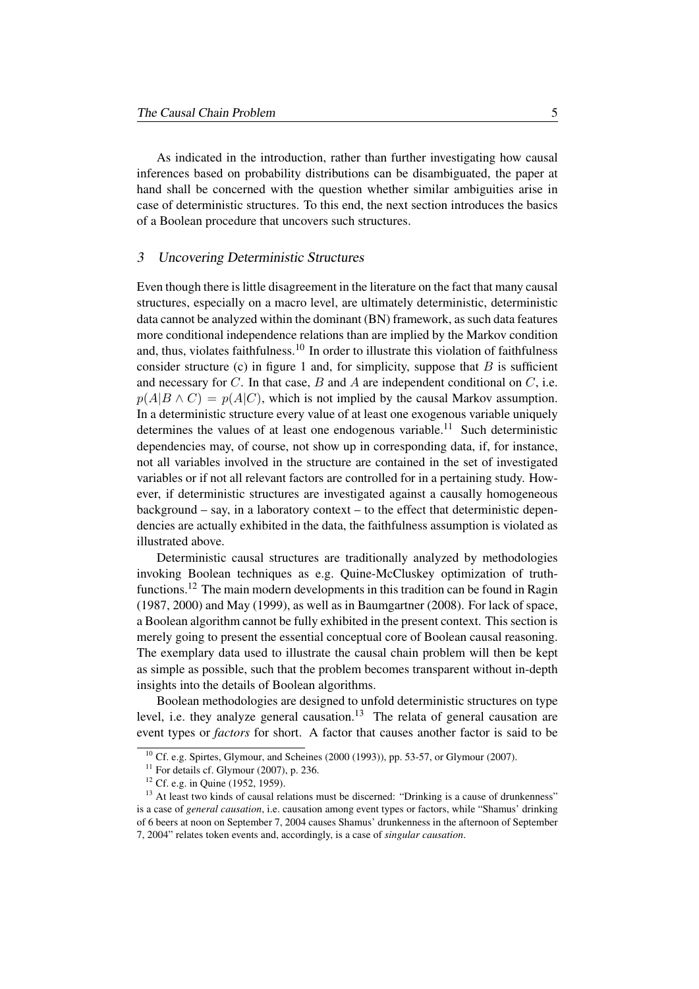As indicated in the introduction, rather than further investigating how causal inferences based on probability distributions can be disambiguated, the paper at hand shall be concerned with the question whether similar ambiguities arise in case of deterministic structures. To this end, the next section introduces the basics of a Boolean procedure that uncovers such structures.

#### 3 Uncovering Deterministic Structures

Even though there is little disagreement in the literature on the fact that many causal structures, especially on a macro level, are ultimately deterministic, deterministic data cannot be analyzed within the dominant (BN) framework, as such data features more conditional independence relations than are implied by the Markov condition and, thus, violates faithfulness.<sup>10</sup> In order to illustrate this violation of faithfulness consider structure (c) in figure 1 and, for simplicity, suppose that  $B$  is sufficient and necessary for  $C$ . In that case,  $B$  and  $A$  are independent conditional on  $C$ , i.e.  $p(A|B \wedge C) = p(A|C)$ , which is not implied by the causal Markov assumption. In a deterministic structure every value of at least one exogenous variable uniquely determines the values of at least one endogenous variable.<sup>11</sup> Such deterministic dependencies may, of course, not show up in corresponding data, if, for instance, not all variables involved in the structure are contained in the set of investigated variables or if not all relevant factors are controlled for in a pertaining study. However, if deterministic structures are investigated against a causally homogeneous background – say, in a laboratory context – to the effect that deterministic dependencies are actually exhibited in the data, the faithfulness assumption is violated as illustrated above.

Deterministic causal structures are traditionally analyzed by methodologies invoking Boolean techniques as e.g. Quine-McCluskey optimization of truthfunctions.<sup>12</sup> The main modern developments in this tradition can be found in Ragin (1987, 2000) and May (1999), as well as in Baumgartner (2008). For lack of space, a Boolean algorithm cannot be fully exhibited in the present context. This section is merely going to present the essential conceptual core of Boolean causal reasoning. The exemplary data used to illustrate the causal chain problem will then be kept as simple as possible, such that the problem becomes transparent without in-depth insights into the details of Boolean algorithms.

Boolean methodologies are designed to unfold deterministic structures on type level, i.e. they analyze general causation.<sup>13</sup> The relata of general causation are event types or *factors* for short. A factor that causes another factor is said to be

 $10$  Cf. e.g. Spirtes, Glymour, and Scheines (2000 (1993)), pp. 53-57, or Glymour (2007).

 $11$  For details cf. Glymour (2007), p. 236.

<sup>&</sup>lt;sup>12</sup> Cf. e.g. in Quine (1952, 1959).

<sup>&</sup>lt;sup>13</sup> At least two kinds of causal relations must be discerned: "Drinking is a cause of drunkenness" is a case of *general causation*, i.e. causation among event types or factors, while "Shamus' drinking of 6 beers at noon on September 7, 2004 causes Shamus' drunkenness in the afternoon of September 7, 2004" relates token events and, accordingly, is a case of *singular causation*.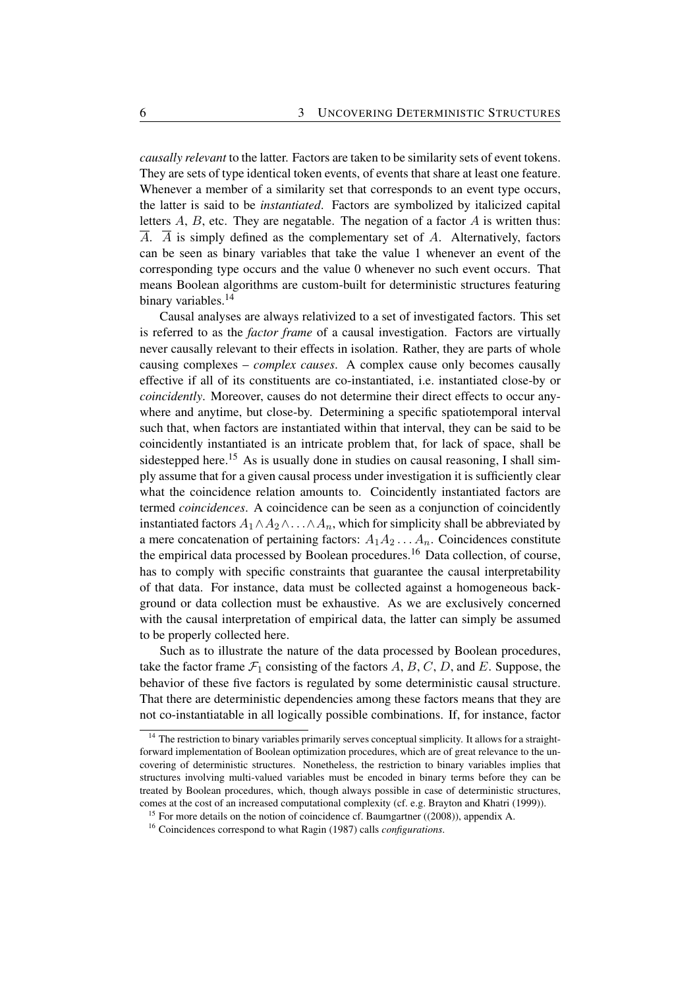*causally relevant* to the latter. Factors are taken to be similarity sets of event tokens. They are sets of type identical token events, of events that share at least one feature. Whenever a member of a similarity set that corresponds to an event type occurs, the latter is said to be *instantiated*. Factors are symbolized by italicized capital letters  $A$ ,  $B$ , etc. They are negatable. The negation of a factor  $A$  is written thus:  $\overline{A}$ .  $\overline{A}$  is simply defined as the complementary set of A. Alternatively, factors can be seen as binary variables that take the value 1 whenever an event of the corresponding type occurs and the value 0 whenever no such event occurs. That means Boolean algorithms are custom-built for deterministic structures featuring binary variables.<sup>14</sup>

Causal analyses are always relativized to a set of investigated factors. This set is referred to as the *factor frame* of a causal investigation. Factors are virtually never causally relevant to their effects in isolation. Rather, they are parts of whole causing complexes – *complex causes*. A complex cause only becomes causally effective if all of its constituents are co-instantiated, i.e. instantiated close-by or *coincidently*. Moreover, causes do not determine their direct effects to occur anywhere and anytime, but close-by. Determining a specific spatiotemporal interval such that, when factors are instantiated within that interval, they can be said to be coincidently instantiated is an intricate problem that, for lack of space, shall be sidestepped here.<sup>15</sup> As is usually done in studies on causal reasoning, I shall simply assume that for a given causal process under investigation it is sufficiently clear what the coincidence relation amounts to. Coincidently instantiated factors are termed *coincidences*. A coincidence can be seen as a conjunction of coincidently instantiated factors  $A_1 \wedge A_2 \wedge \ldots \wedge A_n$ , which for simplicity shall be abbreviated by a mere concatenation of pertaining factors:  $A_1A_2 \ldots A_n$ . Coincidences constitute the empirical data processed by Boolean procedures.<sup>16</sup> Data collection, of course, has to comply with specific constraints that guarantee the causal interpretability of that data. For instance, data must be collected against a homogeneous background or data collection must be exhaustive. As we are exclusively concerned with the causal interpretation of empirical data, the latter can simply be assumed to be properly collected here.

Such as to illustrate the nature of the data processed by Boolean procedures, take the factor frame  $\mathcal{F}_1$  consisting of the factors  $A, B, C, D$ , and E. Suppose, the behavior of these five factors is regulated by some deterministic causal structure. That there are deterministic dependencies among these factors means that they are not co-instantiatable in all logically possible combinations. If, for instance, factor

 $14$  The restriction to binary variables primarily serves conceptual simplicity. It allows for a straightforward implementation of Boolean optimization procedures, which are of great relevance to the uncovering of deterministic structures. Nonetheless, the restriction to binary variables implies that structures involving multi-valued variables must be encoded in binary terms before they can be treated by Boolean procedures, which, though always possible in case of deterministic structures, comes at the cost of an increased computational complexity (cf. e.g. Brayton and Khatri (1999)).

<sup>&</sup>lt;sup>15</sup> For more details on the notion of coincidence cf. Baumgartner  $((2008))$ , appendix A.

<sup>16</sup> Coincidences correspond to what Ragin (1987) calls *configurations*.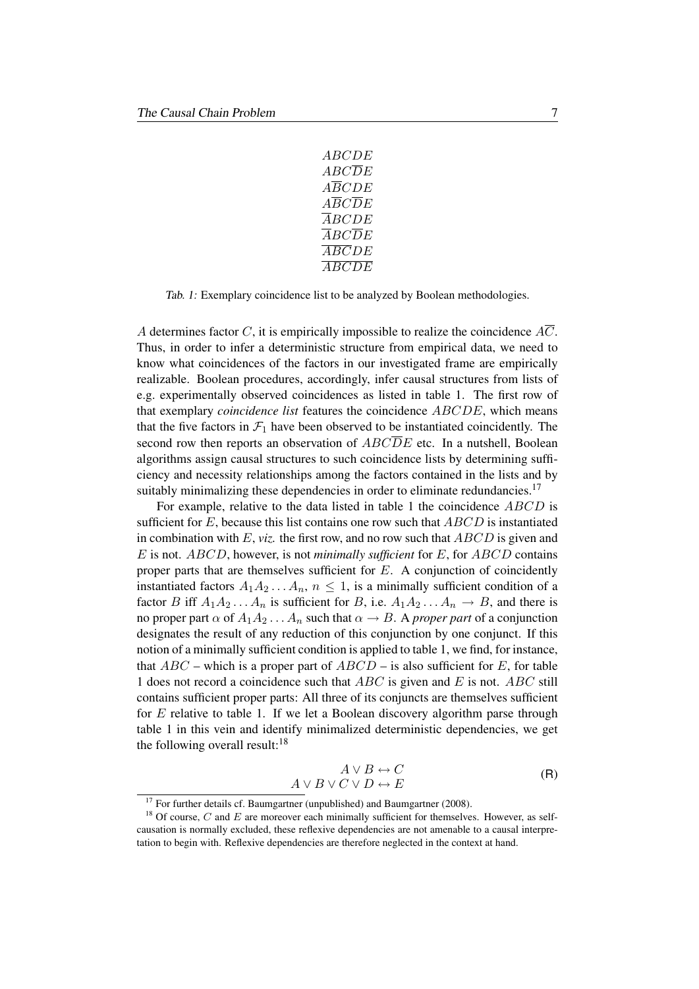| ABCDE                                     |
|-------------------------------------------|
| <i>ABCDE</i>                              |
| <i>ABCDE</i>                              |
| $\angle ABCDE$                            |
| $\cal{A} \cal{B} \cal{C} \cal{D} \cal{E}$ |
| $\angle ABCDE$                            |
| $\angle ABCDE$                            |
| ABCDE                                     |

Tab. 1: Exemplary coincidence list to be analyzed by Boolean methodologies.

A determines factor C, it is empirically impossible to realize the coincidence  $\overline{AC}$ . Thus, in order to infer a deterministic structure from empirical data, we need to know what coincidences of the factors in our investigated frame are empirically realizable. Boolean procedures, accordingly, infer causal structures from lists of e.g. experimentally observed coincidences as listed in table 1. The first row of that exemplary *coincidence list* features the coincidence ABCDE, which means that the five factors in  $\mathcal{F}_1$  have been observed to be instantiated coincidently. The second row then reports an observation of  $ABC\overline{D}E$  etc. In a nutshell, Boolean algorithms assign causal structures to such coincidence lists by determining sufficiency and necessity relationships among the factors contained in the lists and by suitably minimalizing these dependencies in order to eliminate redundancies.<sup>17</sup>

For example, relative to the data listed in table 1 the coincidence ABCD is sufficient for  $E$ , because this list contains one row such that  $ABCD$  is instantiated in combination with  $E$ , *viz.* the first row, and no row such that  $ABCD$  is given and E is not. ABCD, however, is not *minimally sufficient* for E, for ABCD contains proper parts that are themselves sufficient for  $E$ . A conjunction of coincidently instantiated factors  $A_1A_2...A_n$ ,  $n \leq 1$ , is a minimally sufficient condition of a factor B iff  $A_1A_2...A_n$  is sufficient for B, i.e.  $A_1A_2...A_n \rightarrow B$ , and there is no proper part  $\alpha$  of  $A_1A_2 \ldots A_n$  such that  $\alpha \rightarrow B$ . A *proper part* of a conjunction designates the result of any reduction of this conjunction by one conjunct. If this notion of a minimally sufficient condition is applied to table 1, we find, for instance, that  $ABC$  – which is a proper part of  $ABCD$  – is also sufficient for E, for table 1 does not record a coincidence such that  $ABC$  is given and E is not. ABC still contains sufficient proper parts: All three of its conjuncts are themselves sufficient for E relative to table 1. If we let a Boolean discovery algorithm parse through table 1 in this vein and identify minimalized deterministic dependencies, we get the following overall result: $18$ 

$$
A \lor B \leftrightarrow C
$$
  

$$
A \lor B \lor C \lor D \leftrightarrow E
$$
 (R)

 $17$  For further details cf. Baumgartner (unpublished) and Baumgartner (2008).

 $18$  Of course, C and E are moreover each minimally sufficient for themselves. However, as selfcausation is normally excluded, these reflexive dependencies are not amenable to a causal interpretation to begin with. Reflexive dependencies are therefore neglected in the context at hand.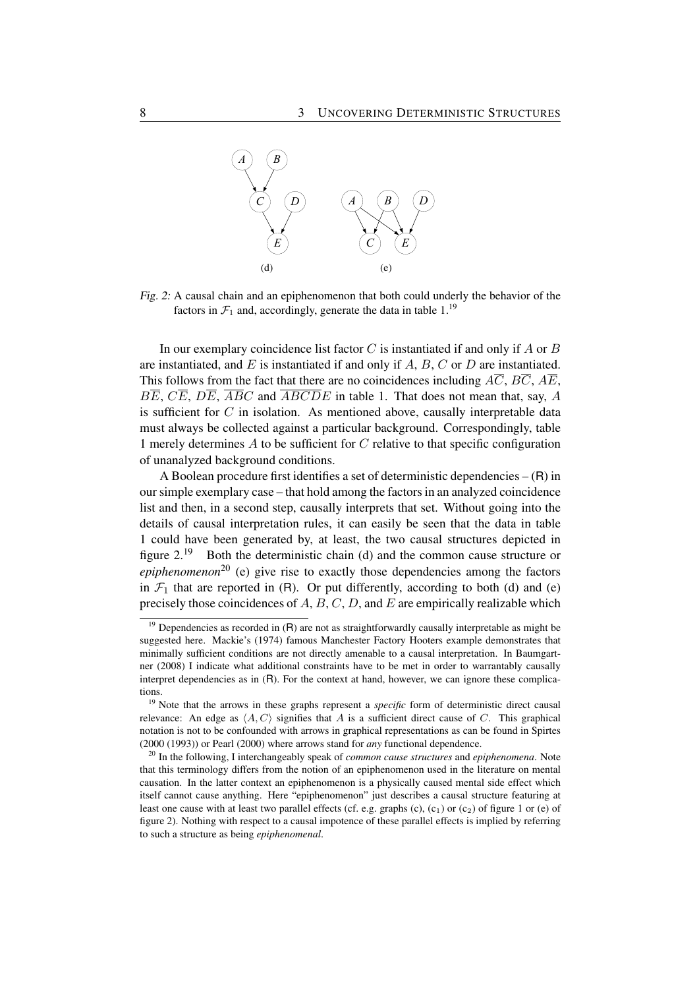

Fig. 2: A causal chain and an epiphenomenon that both could underly the behavior of the factors in  $\mathcal{F}_1$  and, accordingly, generate the data in table 1.<sup>19</sup>

In our exemplary coincidence list factor  $C$  is instantiated if and only if  $A$  or  $B$ are instantiated, and  $E$  is instantiated if and only if  $A$ ,  $B$ ,  $C$  or  $D$  are instantiated. This follows from the fact that there are no coincidences including  $A\overline{C}$ ,  $B\overline{C}$ ,  $A\overline{E}$ ,  $B\overline{E}$ ,  $C\overline{E}$ ,  $D\overline{E}$ ,  $\overline{ABC}$  and  $\overline{ABCDE}$  in table 1. That does not mean that, say, A is sufficient for  $C$  in isolation. As mentioned above, causally interpretable data must always be collected against a particular background. Correspondingly, table 1 merely determines  $\vec{A}$  to be sufficient for  $\vec{C}$  relative to that specific configuration of unanalyzed background conditions.

A Boolean procedure first identifies a set of deterministic dependencies – (R) in our simple exemplary case – that hold among the factors in an analyzed coincidence list and then, in a second step, causally interprets that set. Without going into the details of causal interpretation rules, it can easily be seen that the data in table 1 could have been generated by, at least, the two causal structures depicted in figure  $2.^{19}$  Both the deterministic chain (d) and the common cause structure or *epiphenomenon*<sup>20</sup> (e) give rise to exactly those dependencies among the factors in  $\mathcal{F}_1$  that are reported in (R). Or put differently, according to both (d) and (e) precisely those coincidences of  $A, B, C, D$ , and  $E$  are empirically realizable which

 $19$  Dependencies as recorded in (R) are not as straightforwardly causally interpretable as might be suggested here. Mackie's (1974) famous Manchester Factory Hooters example demonstrates that minimally sufficient conditions are not directly amenable to a causal interpretation. In Baumgartner (2008) I indicate what additional constraints have to be met in order to warrantably causally interpret dependencies as in (R). For the context at hand, however, we can ignore these complications.

<sup>&</sup>lt;sup>19</sup> Note that the arrows in these graphs represent a *specific* form of deterministic direct causal relevance: An edge as  $\langle A, C \rangle$  signifies that A is a sufficient direct cause of C. This graphical notation is not to be confounded with arrows in graphical representations as can be found in Spirtes (2000 (1993)) or Pearl (2000) where arrows stand for *any* functional dependence.

<sup>20</sup> In the following, I interchangeably speak of *common cause structures* and *epiphenomena*. Note that this terminology differs from the notion of an epiphenomenon used in the literature on mental causation. In the latter context an epiphenomenon is a physically caused mental side effect which itself cannot cause anything. Here "epiphenomenon" just describes a causal structure featuring at least one cause with at least two parallel effects (cf. e.g. graphs  $(c)$ ,  $(c_1)$  or  $(c_2)$  of figure 1 or  $(e)$  of figure 2). Nothing with respect to a causal impotence of these parallel effects is implied by referring to such a structure as being *epiphenomenal*.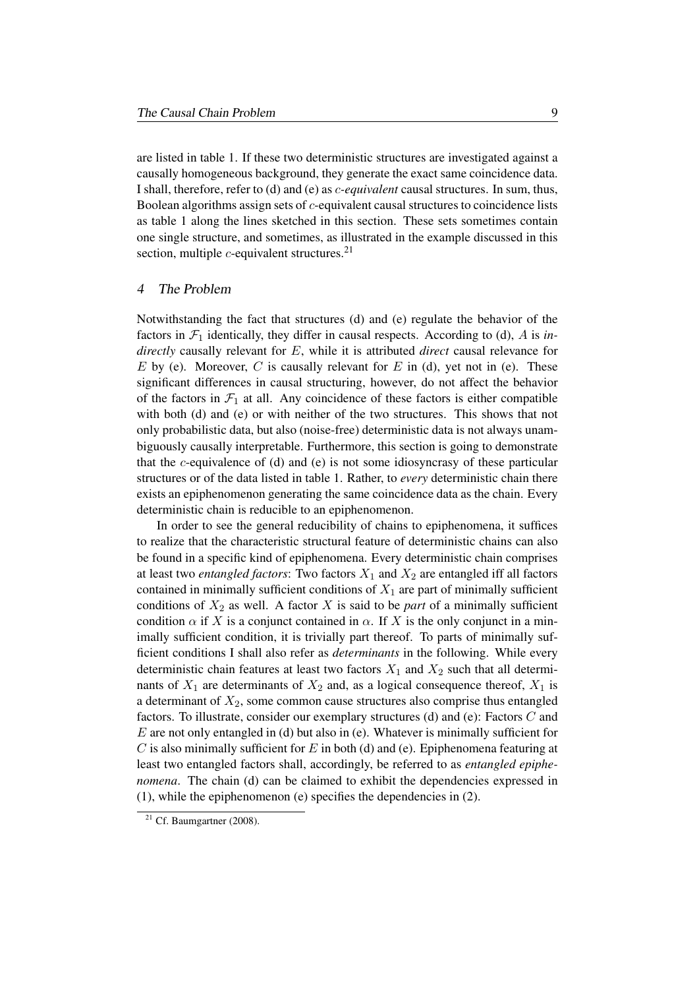are listed in table 1. If these two deterministic structures are investigated against a causally homogeneous background, they generate the exact same coincidence data. I shall, therefore, refer to (d) and (e) as c*-equivalent* causal structures. In sum, thus, Boolean algorithms assign sets of c-equivalent causal structures to coincidence lists as table 1 along the lines sketched in this section. These sets sometimes contain one single structure, and sometimes, as illustrated in the example discussed in this section, multiple  $c$ -equivalent structures.<sup>21</sup>

#### 4 The Problem

Notwithstanding the fact that structures (d) and (e) regulate the behavior of the factors in  $\mathcal{F}_1$  identically, they differ in causal respects. According to (d), A is *indirectly* causally relevant for E, while it is attributed *direct* causal relevance for E by (e). Moreover, C is causally relevant for E in (d), yet not in (e). These significant differences in causal structuring, however, do not affect the behavior of the factors in  $\mathcal{F}_1$  at all. Any coincidence of these factors is either compatible with both (d) and (e) or with neither of the two structures. This shows that not only probabilistic data, but also (noise-free) deterministic data is not always unambiguously causally interpretable. Furthermore, this section is going to demonstrate that the  $c$ -equivalence of (d) and (e) is not some idiosyncrasy of these particular structures or of the data listed in table 1. Rather, to *every* deterministic chain there exists an epiphenomenon generating the same coincidence data as the chain. Every deterministic chain is reducible to an epiphenomenon.

In order to see the general reducibility of chains to epiphenomena, it suffices to realize that the characteristic structural feature of deterministic chains can also be found in a specific kind of epiphenomena. Every deterministic chain comprises at least two *entangled factors*: Two factors  $X_1$  and  $X_2$  are entangled iff all factors contained in minimally sufficient conditions of  $X_1$  are part of minimally sufficient conditions of  $X_2$  as well. A factor X is said to be *part* of a minimally sufficient condition  $\alpha$  if X is a conjunct contained in  $\alpha$ . If X is the only conjunct in a minimally sufficient condition, it is trivially part thereof. To parts of minimally sufficient conditions I shall also refer as *determinants* in the following. While every deterministic chain features at least two factors  $X_1$  and  $X_2$  such that all determinants of  $X_1$  are determinants of  $X_2$  and, as a logical consequence thereof,  $X_1$  is a determinant of  $X_2$ , some common cause structures also comprise thus entangled factors. To illustrate, consider our exemplary structures (d) and (e): Factors C and  $E$  are not only entangled in (d) but also in (e). Whatever is minimally sufficient for C is also minimally sufficient for E in both (d) and (e). Epiphenomena featuring at least two entangled factors shall, accordingly, be referred to as *entangled epiphenomena*. The chain (d) can be claimed to exhibit the dependencies expressed in (1), while the epiphenomenon (e) specifies the dependencies in (2).

 $21$  Cf. Baumgartner (2008).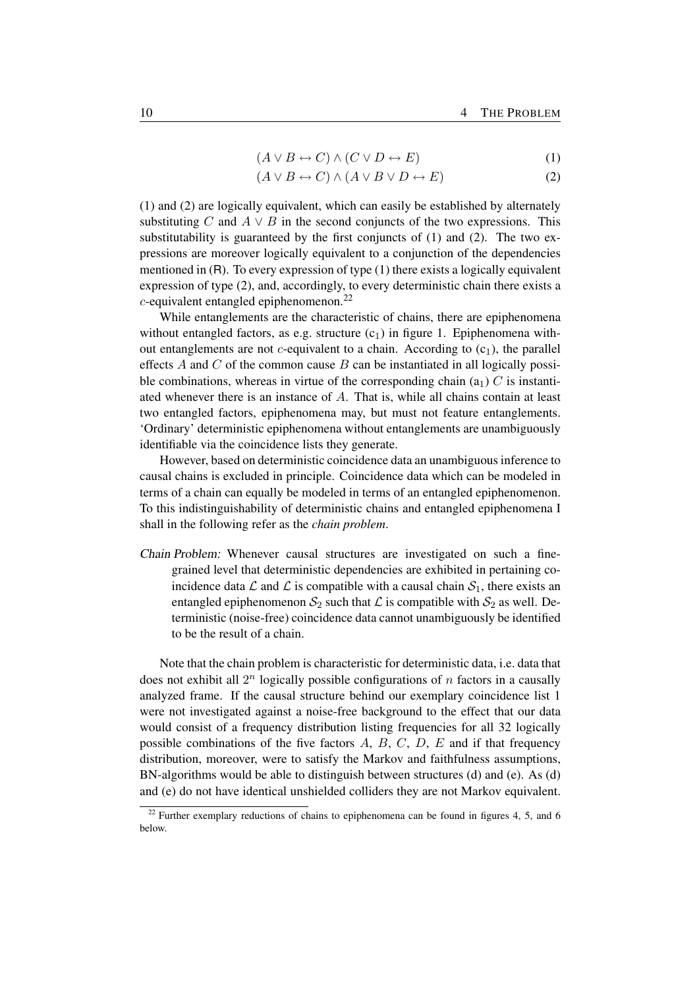$$
(A \lor B \leftrightarrow C) \land (C \lor D \leftrightarrow E) \tag{1}
$$

$$
(A \lor B \leftrightarrow C) \land (A \lor B \lor D \leftrightarrow E) \tag{2}
$$

(1) and (2) are logically equivalent, which can easily be established by alternately substituting C and  $A \vee B$  in the second conjuncts of the two expressions. This substitutability is guaranteed by the first conjuncts of (1) and (2). The two expressions are moreover logically equivalent to a conjunction of the dependencies mentioned in (R). To every expression of type (1) there exists a logically equivalent expression of type (2), and, accordingly, to every deterministic chain there exists a  $c$ -equivalent entangled epiphenomenon.<sup>22</sup>

While entanglements are the characteristic of chains, there are epiphenomena without entangled factors, as e.g. structure  $(c_1)$  in figure 1. Epiphenomena without entanglements are not c-equivalent to a chain. According to  $(c_1)$ , the parallel effects  $A$  and  $C$  of the common cause  $B$  can be instantiated in all logically possible combinations, whereas in virtue of the corresponding chain  $(a_1)$  C is instantiated whenever there is an instance of A. That is, while all chains contain at least two entangled factors, epiphenomena may, but must not feature entanglements. 'Ordinary' deterministic epiphenomena without entanglements are unambiguously identifiable via the coincidence lists they generate.

However, based on deterministic coincidence data an unambiguous inference to causal chains is excluded in principle. Coincidence data which can be modeled in terms of a chain can equally be modeled in terms of an entangled epiphenomenon. To this indistinguishability of deterministic chains and entangled epiphenomena I shall in the following refer as the *chain problem*.

Chain Problem: Whenever causal structures are investigated on such a finegrained level that deterministic dependencies are exhibited in pertaining coincidence data  $\mathcal L$  and  $\mathcal L$  is compatible with a causal chain  $\mathcal S_1$ , there exists an entangled epiphenomenon  $S_2$  such that  $\mathcal L$  is compatible with  $S_2$  as well. Deterministic (noise-free) coincidence data cannot unambiguously be identified to be the result of a chain.

Note that the chain problem is characteristic for deterministic data, i.e. data that does not exhibit all  $2^n$  logically possible configurations of n factors in a causally analyzed frame. If the causal structure behind our exemplary coincidence list 1 were not investigated against a noise-free background to the effect that our data would consist of a frequency distribution listing frequencies for all 32 logically possible combinations of the five factors  $A, B, C, D, E$  and if that frequency distribution, moreover, were to satisfy the Markov and faithfulness assumptions, BN-algorithms would be able to distinguish between structures (d) and (e). As (d) and (e) do not have identical unshielded colliders they are not Markov equivalent.

 $22$  Further exemplary reductions of chains to epiphenomena can be found in figures 4, 5, and 6 below.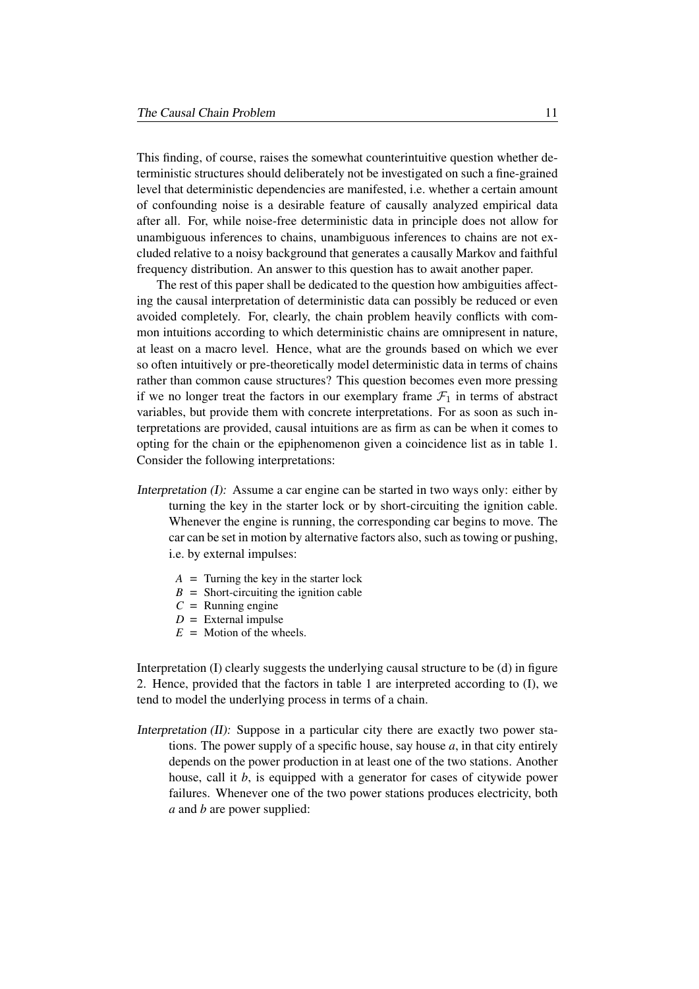This finding, of course, raises the somewhat counterintuitive question whether deterministic structures should deliberately not be investigated on such a fine-grained level that deterministic dependencies are manifested, i.e. whether a certain amount of confounding noise is a desirable feature of causally analyzed empirical data after all. For, while noise-free deterministic data in principle does not allow for unambiguous inferences to chains, unambiguous inferences to chains are not excluded relative to a noisy background that generates a causally Markov and faithful frequency distribution. An answer to this question has to await another paper.

The rest of this paper shall be dedicated to the question how ambiguities affecting the causal interpretation of deterministic data can possibly be reduced or even avoided completely. For, clearly, the chain problem heavily conflicts with common intuitions according to which deterministic chains are omnipresent in nature, at least on a macro level. Hence, what are the grounds based on which we ever so often intuitively or pre-theoretically model deterministic data in terms of chains rather than common cause structures? This question becomes even more pressing if we no longer treat the factors in our exemplary frame  $\mathcal{F}_1$  in terms of abstract variables, but provide them with concrete interpretations. For as soon as such interpretations are provided, causal intuitions are as firm as can be when it comes to opting for the chain or the epiphenomenon given a coincidence list as in table 1. Consider the following interpretations:

- Interpretation (I): Assume a car engine can be started in two ways only: either by turning the key in the starter lock or by short-circuiting the ignition cable. Whenever the engine is running, the corresponding car begins to move. The car can be set in motion by alternative factors also, such as towing or pushing, i.e. by external impulses:
	- $A =$  Turning the key in the starter lock
	- $B =$  Short-circuiting the ignition cable
	- $C =$  Running engine
	- $D =$  External impulse
	- $E =$  Motion of the wheels.

Interpretation (I) clearly suggests the underlying causal structure to be (d) in figure 2. Hence, provided that the factors in table 1 are interpreted according to (I), we tend to model the underlying process in terms of a chain.

Interpretation (II): Suppose in a particular city there are exactly two power stations. The power supply of a specific house, say house *a*, in that city entirely depends on the power production in at least one of the two stations. Another house, call it *b*, is equipped with a generator for cases of citywide power failures. Whenever one of the two power stations produces electricity, both *a* and *b* are power supplied: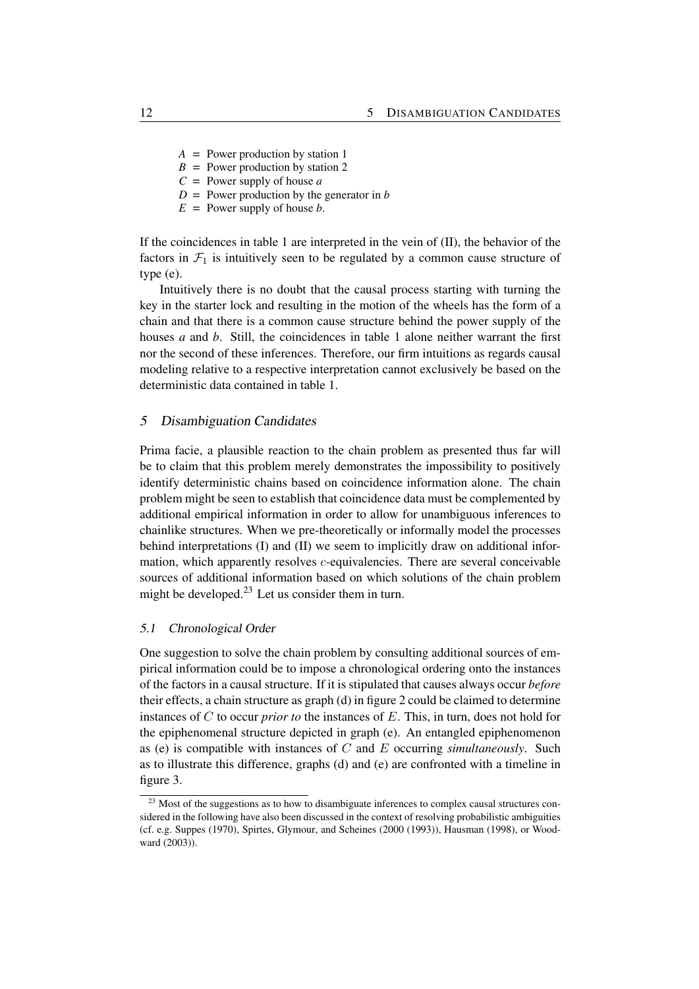- *A* = Power production by station 1
- $B =$  Power production by station 2
- *C* = Power supply of house *a*
- $D =$  Power production by the generator in *b*
- $E =$  Power supply of house *b*.

If the coincidences in table 1 are interpreted in the vein of (II), the behavior of the factors in  $\mathcal{F}_1$  is intuitively seen to be regulated by a common cause structure of type (e).

Intuitively there is no doubt that the causal process starting with turning the key in the starter lock and resulting in the motion of the wheels has the form of a chain and that there is a common cause structure behind the power supply of the houses *a* and *b*. Still, the coincidences in table 1 alone neither warrant the first nor the second of these inferences. Therefore, our firm intuitions as regards causal modeling relative to a respective interpretation cannot exclusively be based on the deterministic data contained in table 1.

#### 5 Disambiguation Candidates

Prima facie, a plausible reaction to the chain problem as presented thus far will be to claim that this problem merely demonstrates the impossibility to positively identify deterministic chains based on coincidence information alone. The chain problem might be seen to establish that coincidence data must be complemented by additional empirical information in order to allow for unambiguous inferences to chainlike structures. When we pre-theoretically or informally model the processes behind interpretations (I) and (II) we seem to implicitly draw on additional information, which apparently resolves  $c$ -equivalencies. There are several conceivable sources of additional information based on which solutions of the chain problem might be developed.<sup>23</sup> Let us consider them in turn.

#### 5.1 Chronological Order

One suggestion to solve the chain problem by consulting additional sources of empirical information could be to impose a chronological ordering onto the instances of the factors in a causal structure. If it is stipulated that causes always occur *before* their effects, a chain structure as graph (d) in figure 2 could be claimed to determine instances of C to occur *prior to* the instances of E. This, in turn, does not hold for the epiphenomenal structure depicted in graph (e). An entangled epiphenomenon as (e) is compatible with instances of C and E occurring *simultaneously*. Such as to illustrate this difference, graphs (d) and (e) are confronted with a timeline in figure 3.

 $23$  Most of the suggestions as to how to disambiguate inferences to complex causal structures considered in the following have also been discussed in the context of resolving probabilistic ambiguities (cf. e.g. Suppes (1970), Spirtes, Glymour, and Scheines (2000 (1993)), Hausman (1998), or Woodward (2003)).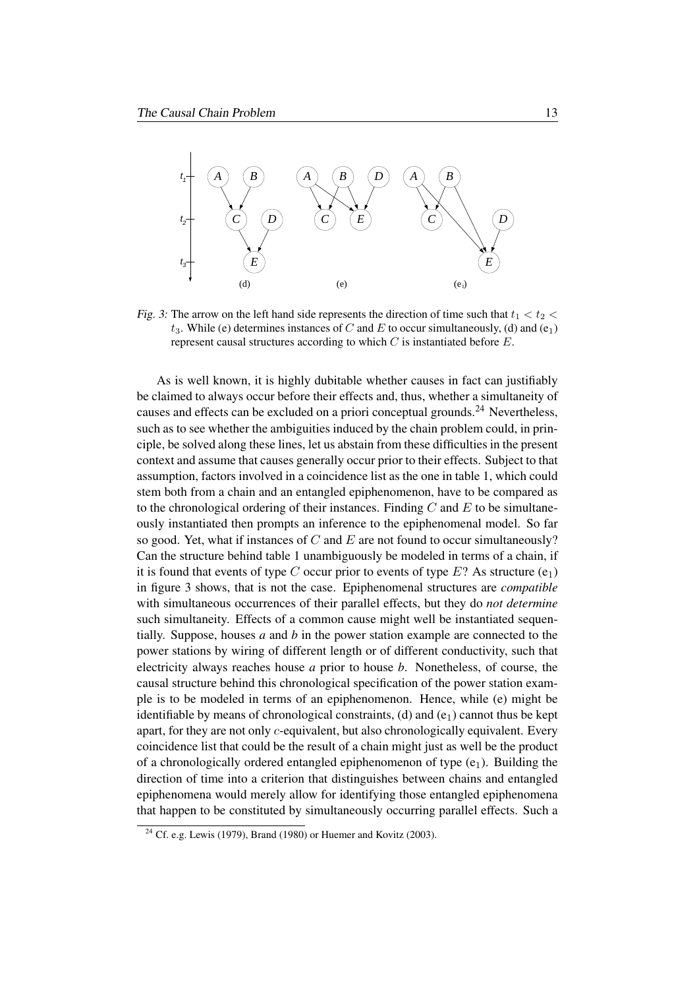

Fig. 3: The arrow on the left hand side represents the direction of time such that  $t_1 < t_2 <$  $t_3$ . While (e) determines instances of C and E to occur simultaneously, (d) and (e<sub>1</sub>) represent causal structures according to which  $C$  is instantiated before  $E$ .

As is well known, it is highly dubitable whether causes in fact can justifiably be claimed to always occur before their effects and, thus, whether a simultaneity of causes and effects can be excluded on a priori conceptual grounds.<sup>24</sup> Nevertheless, such as to see whether the ambiguities induced by the chain problem could, in principle, be solved along these lines, let us abstain from these difficulties in the present context and assume that causes generally occur prior to their effects. Subject to that assumption, factors involved in a coincidence list as the one in table 1, which could stem both from a chain and an entangled epiphenomenon, have to be compared as to the chronological ordering of their instances. Finding  $C$  and  $E$  to be simultaneously instantiated then prompts an inference to the epiphenomenal model. So far so good. Yet, what if instances of C and E are not found to occur simultaneously? Can the structure behind table 1 unambiguously be modeled in terms of a chain, if it is found that events of type C occur prior to events of type  $E$ ? As structure (e<sub>1</sub>) in figure 3 shows, that is not the case. Epiphenomenal structures are *compatible* with simultaneous occurrences of their parallel effects, but they do *not determine* such simultaneity. Effects of a common cause might well be instantiated sequentially. Suppose, houses *a* and *b* in the power station example are connected to the power stations by wiring of different length or of different conductivity, such that electricity always reaches house *a* prior to house *b*. Nonetheless, of course, the causal structure behind this chronological specification of the power station example is to be modeled in terms of an epiphenomenon. Hence, while (e) might be identifiable by means of chronological constraints, (d) and  $(e_1)$  cannot thus be kept apart, for they are not only c-equivalent, but also chronologically equivalent. Every coincidence list that could be the result of a chain might just as well be the product of a chronologically ordered entangled epiphenomenon of type  $(e_1)$ . Building the direction of time into a criterion that distinguishes between chains and entangled epiphenomena would merely allow for identifying those entangled epiphenomena that happen to be constituted by simultaneously occurring parallel effects. Such a

 $24$  Cf. e.g. Lewis (1979), Brand (1980) or Huemer and Kovitz (2003).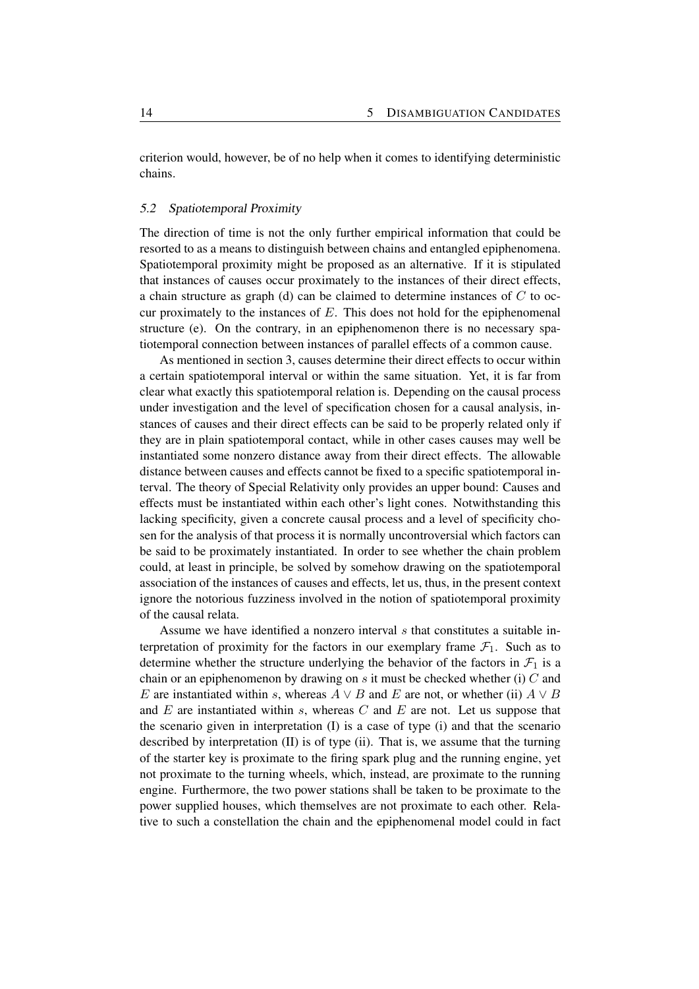criterion would, however, be of no help when it comes to identifying deterministic chains.

#### 5.2 Spatiotemporal Proximity

The direction of time is not the only further empirical information that could be resorted to as a means to distinguish between chains and entangled epiphenomena. Spatiotemporal proximity might be proposed as an alternative. If it is stipulated that instances of causes occur proximately to the instances of their direct effects, a chain structure as graph (d) can be claimed to determine instances of  $C$  to occur proximately to the instances of  $E$ . This does not hold for the epiphenomenal structure (e). On the contrary, in an epiphenomenon there is no necessary spatiotemporal connection between instances of parallel effects of a common cause.

As mentioned in section 3, causes determine their direct effects to occur within a certain spatiotemporal interval or within the same situation. Yet, it is far from clear what exactly this spatiotemporal relation is. Depending on the causal process under investigation and the level of specification chosen for a causal analysis, instances of causes and their direct effects can be said to be properly related only if they are in plain spatiotemporal contact, while in other cases causes may well be instantiated some nonzero distance away from their direct effects. The allowable distance between causes and effects cannot be fixed to a specific spatiotemporal interval. The theory of Special Relativity only provides an upper bound: Causes and effects must be instantiated within each other's light cones. Notwithstanding this lacking specificity, given a concrete causal process and a level of specificity chosen for the analysis of that process it is normally uncontroversial which factors can be said to be proximately instantiated. In order to see whether the chain problem could, at least in principle, be solved by somehow drawing on the spatiotemporal association of the instances of causes and effects, let us, thus, in the present context ignore the notorious fuzziness involved in the notion of spatiotemporal proximity of the causal relata.

Assume we have identified a nonzero interval s that constitutes a suitable interpretation of proximity for the factors in our exemplary frame  $\mathcal{F}_1$ . Such as to determine whether the structure underlying the behavior of the factors in  $\mathcal{F}_1$  is a chain or an epiphenomenon by drawing on s it must be checked whether (i) C and E are instantiated within s, whereas  $A \vee B$  and E are not, or whether (ii)  $A \vee B$ and  $E$  are instantiated within  $s$ , whereas  $C$  and  $E$  are not. Let us suppose that the scenario given in interpretation (I) is a case of type (i) and that the scenario described by interpretation (II) is of type (ii). That is, we assume that the turning of the starter key is proximate to the firing spark plug and the running engine, yet not proximate to the turning wheels, which, instead, are proximate to the running engine. Furthermore, the two power stations shall be taken to be proximate to the power supplied houses, which themselves are not proximate to each other. Relative to such a constellation the chain and the epiphenomenal model could in fact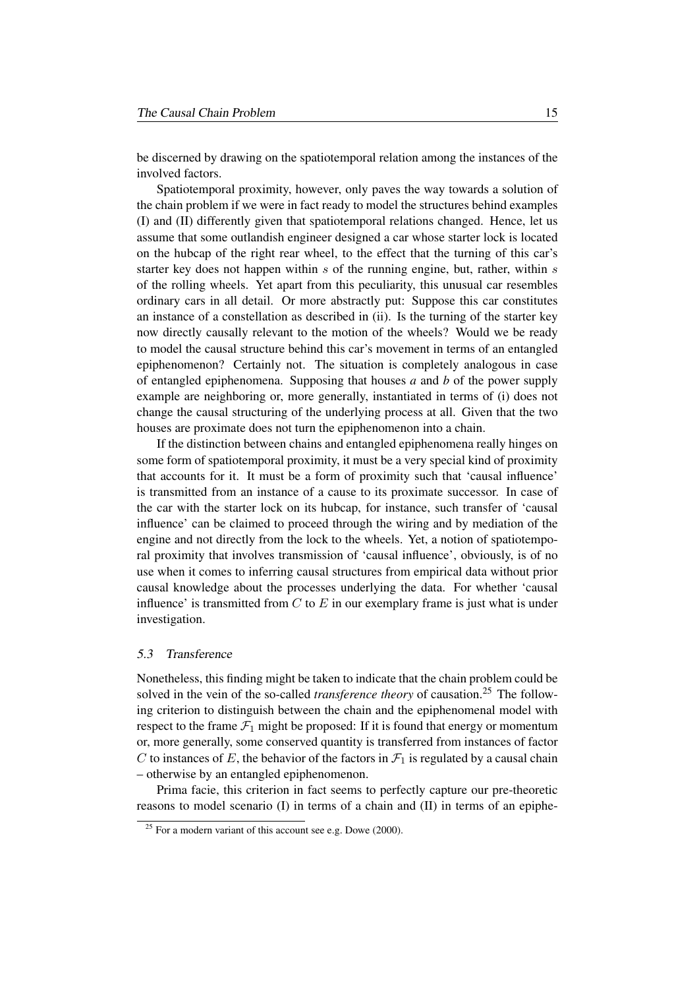be discerned by drawing on the spatiotemporal relation among the instances of the involved factors.

Spatiotemporal proximity, however, only paves the way towards a solution of the chain problem if we were in fact ready to model the structures behind examples (I) and (II) differently given that spatiotemporal relations changed. Hence, let us assume that some outlandish engineer designed a car whose starter lock is located on the hubcap of the right rear wheel, to the effect that the turning of this car's starter key does not happen within  $s$  of the running engine, but, rather, within  $s$ of the rolling wheels. Yet apart from this peculiarity, this unusual car resembles ordinary cars in all detail. Or more abstractly put: Suppose this car constitutes an instance of a constellation as described in (ii). Is the turning of the starter key now directly causally relevant to the motion of the wheels? Would we be ready to model the causal structure behind this car's movement in terms of an entangled epiphenomenon? Certainly not. The situation is completely analogous in case of entangled epiphenomena. Supposing that houses *a* and *b* of the power supply example are neighboring or, more generally, instantiated in terms of (i) does not change the causal structuring of the underlying process at all. Given that the two houses are proximate does not turn the epiphenomenon into a chain.

If the distinction between chains and entangled epiphenomena really hinges on some form of spatiotemporal proximity, it must be a very special kind of proximity that accounts for it. It must be a form of proximity such that 'causal influence' is transmitted from an instance of a cause to its proximate successor. In case of the car with the starter lock on its hubcap, for instance, such transfer of 'causal influence' can be claimed to proceed through the wiring and by mediation of the engine and not directly from the lock to the wheels. Yet, a notion of spatiotemporal proximity that involves transmission of 'causal influence', obviously, is of no use when it comes to inferring causal structures from empirical data without prior causal knowledge about the processes underlying the data. For whether 'causal influence' is transmitted from  $C$  to  $E$  in our exemplary frame is just what is under investigation.

#### 5.3 Transference

Nonetheless, this finding might be taken to indicate that the chain problem could be solved in the vein of the so-called *transference theory* of causation.<sup>25</sup> The following criterion to distinguish between the chain and the epiphenomenal model with respect to the frame  $\mathcal{F}_1$  might be proposed: If it is found that energy or momentum or, more generally, some conserved quantity is transferred from instances of factor C to instances of E, the behavior of the factors in  $\mathcal{F}_1$  is regulated by a causal chain – otherwise by an entangled epiphenomenon.

Prima facie, this criterion in fact seems to perfectly capture our pre-theoretic reasons to model scenario (I) in terms of a chain and (II) in terms of an epiphe-

 $25$  For a modern variant of this account see e.g. Dowe (2000).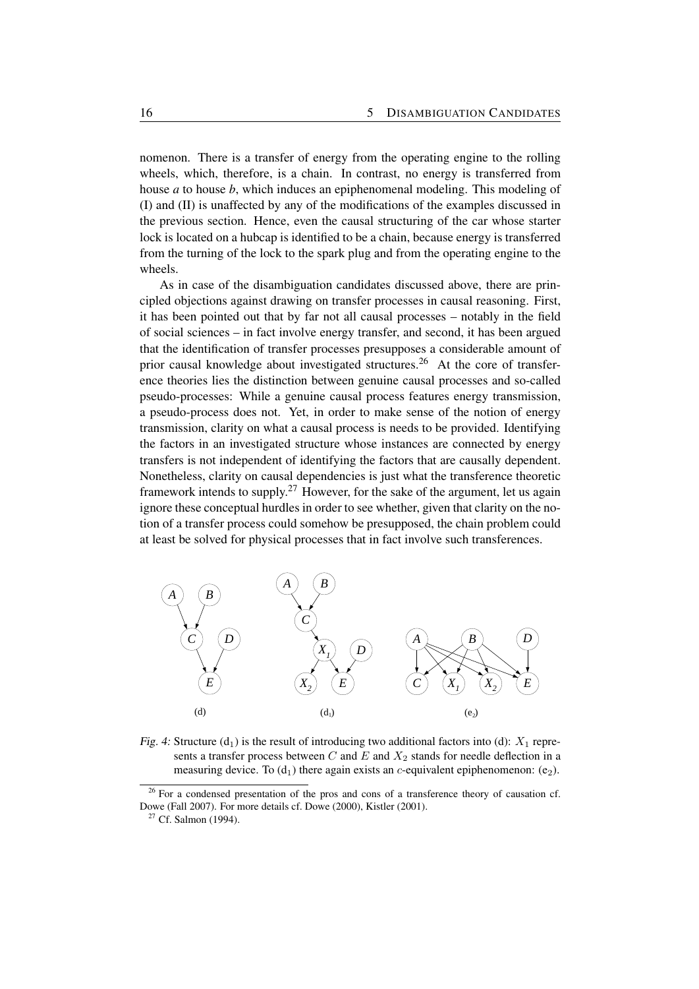nomenon. There is a transfer of energy from the operating engine to the rolling wheels, which, therefore, is a chain. In contrast, no energy is transferred from house *a* to house *b*, which induces an epiphenomenal modeling. This modeling of (I) and (II) is unaffected by any of the modifications of the examples discussed in the previous section. Hence, even the causal structuring of the car whose starter lock is located on a hubcap is identified to be a chain, because energy is transferred from the turning of the lock to the spark plug and from the operating engine to the wheels.

As in case of the disambiguation candidates discussed above, there are principled objections against drawing on transfer processes in causal reasoning. First, it has been pointed out that by far not all causal processes – notably in the field of social sciences – in fact involve energy transfer, and second, it has been argued that the identification of transfer processes presupposes a considerable amount of prior causal knowledge about investigated structures.<sup>26</sup> At the core of transference theories lies the distinction between genuine causal processes and so-called pseudo-processes: While a genuine causal process features energy transmission, a pseudo-process does not. Yet, in order to make sense of the notion of energy transmission, clarity on what a causal process is needs to be provided. Identifying the factors in an investigated structure whose instances are connected by energy transfers is not independent of identifying the factors that are causally dependent. Nonetheless, clarity on causal dependencies is just what the transference theoretic framework intends to supply.<sup>27</sup> However, for the sake of the argument, let us again ignore these conceptual hurdles in order to see whether, given that clarity on the notion of a transfer process could somehow be presupposed, the chain problem could at least be solved for physical processes that in fact involve such transferences.



Fig. 4: Structure (d<sub>1</sub>) is the result of introducing two additional factors into (d):  $X_1$  represents a transfer process between C and E and  $X_2$  stands for needle deflection in a measuring device. To  $(d_1)$  there again exists an c-equivalent epiphenomenon: (e<sub>2</sub>).

 $26$  For a condensed presentation of the pros and cons of a transference theory of causation cf. Dowe (Fall 2007). For more details cf. Dowe (2000), Kistler (2001).

<sup>&</sup>lt;sup>27</sup> Cf. Salmon (1994).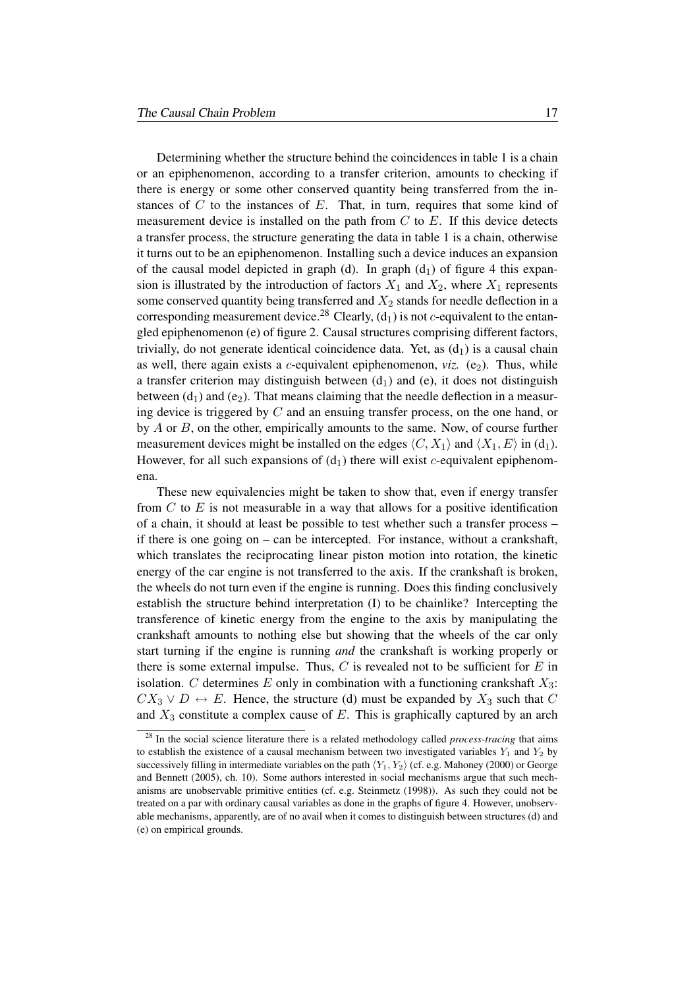Determining whether the structure behind the coincidences in table 1 is a chain or an epiphenomenon, according to a transfer criterion, amounts to checking if there is energy or some other conserved quantity being transferred from the instances of  $C$  to the instances of  $E$ . That, in turn, requires that some kind of measurement device is installed on the path from  $C$  to  $E$ . If this device detects a transfer process, the structure generating the data in table 1 is a chain, otherwise it turns out to be an epiphenomenon. Installing such a device induces an expansion of the causal model depicted in graph (d). In graph  $(d_1)$  of figure 4 this expansion is illustrated by the introduction of factors  $X_1$  and  $X_2$ , where  $X_1$  represents some conserved quantity being transferred and  $X_2$  stands for needle deflection in a corresponding measurement device.<sup>28</sup> Clearly,  $(d_1)$  is not c-equivalent to the entangled epiphenomenon (e) of figure 2. Causal structures comprising different factors, trivially, do not generate identical coincidence data. Yet, as  $(d_1)$  is a causal chain as well, there again exists a *c*-equivalent epiphenomenon, *viz.*  $(e_2)$ . Thus, while a transfer criterion may distinguish between  $(d_1)$  and (e), it does not distinguish between  $(d_1)$  and  $(e_2)$ . That means claiming that the needle deflection in a measuring device is triggered by C and an ensuing transfer process, on the one hand, or by  $A$  or  $B$ , on the other, empirically amounts to the same. Now, of course further measurement devices might be installed on the edges  $\langle C, X_1 \rangle$  and  $\langle X_1, E \rangle$  in (d<sub>1</sub>). However, for all such expansions of  $(d_1)$  there will exist c-equivalent epiphenomena.

These new equivalencies might be taken to show that, even if energy transfer from  $C$  to  $E$  is not measurable in a way that allows for a positive identification of a chain, it should at least be possible to test whether such a transfer process – if there is one going on – can be intercepted. For instance, without a crankshaft, which translates the reciprocating linear piston motion into rotation, the kinetic energy of the car engine is not transferred to the axis. If the crankshaft is broken, the wheels do not turn even if the engine is running. Does this finding conclusively establish the structure behind interpretation (I) to be chainlike? Intercepting the transference of kinetic energy from the engine to the axis by manipulating the crankshaft amounts to nothing else but showing that the wheels of the car only start turning if the engine is running *and* the crankshaft is working properly or there is some external impulse. Thus,  $C$  is revealed not to be sufficient for  $E$  in isolation. C determines E only in combination with a functioning crankshaft  $X_3$ :  $CX_3 \vee D \leftrightarrow E$ . Hence, the structure (d) must be expanded by  $X_3$  such that C and  $X_3$  constitute a complex cause of E. This is graphically captured by an arch

<sup>&</sup>lt;sup>28</sup> In the social science literature there is a related methodology called *process-tracing* that aims to establish the existence of a causal mechanism between two investigated variables  $Y_1$  and  $Y_2$  by successively filling in intermediate variables on the path  $\langle Y_1, Y_2 \rangle$  (cf. e.g. Mahoney (2000) or George and Bennett (2005), ch. 10). Some authors interested in social mechanisms argue that such mechanisms are unobservable primitive entities (cf. e.g. Steinmetz (1998)). As such they could not be treated on a par with ordinary causal variables as done in the graphs of figure 4. However, unobservable mechanisms, apparently, are of no avail when it comes to distinguish between structures (d) and (e) on empirical grounds.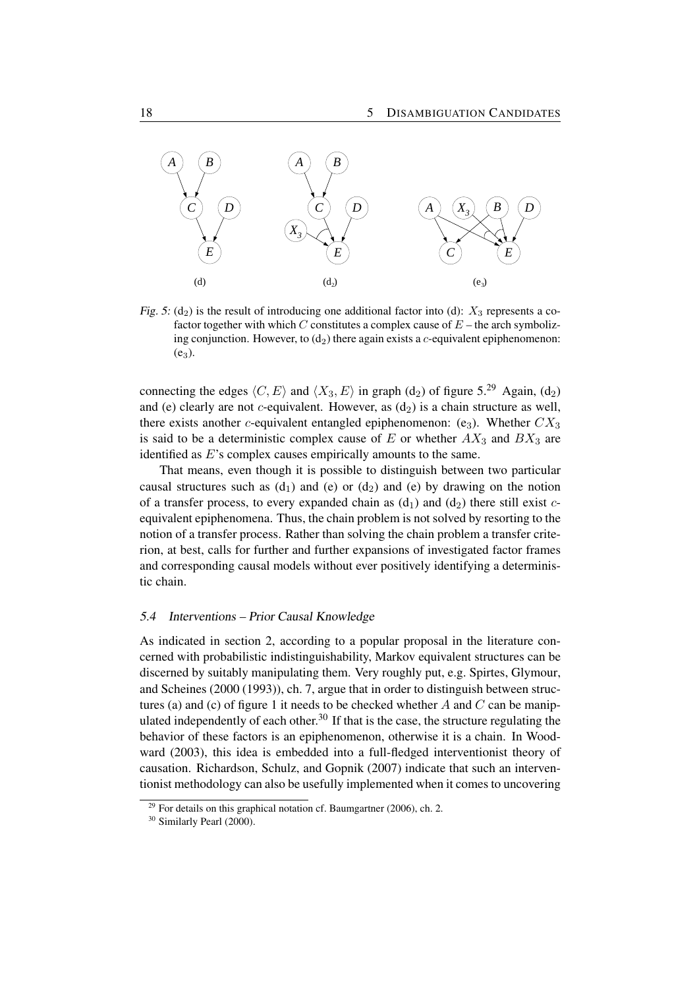

Fig. 5: (d<sub>2</sub>) is the result of introducing one additional factor into (d):  $X_3$  represents a cofactor together with which C constitutes a complex cause of  $E$  – the arch symbolizing conjunction. However, to  $(d_2)$  there again exists a c-equivalent epiphenomenon:  $(e_3)$ .

connecting the edges  $\langle C, E \rangle$  and  $\langle X_3, E \rangle$  in graph (d<sub>2</sub>) of figure 5.<sup>29</sup> Again, (d<sub>2</sub>) and (e) clearly are not *c*-equivalent. However, as  $(d_2)$  is a chain structure as well, there exists another c-equivalent entangled epiphenomenon:  $(e_3)$ . Whether  $CX_3$ is said to be a deterministic complex cause of  $E$  or whether  $AX_3$  and  $BX_3$  are identified as E's complex causes empirically amounts to the same.

That means, even though it is possible to distinguish between two particular causal structures such as  $(d_1)$  and  $(e)$  or  $(d_2)$  and  $(e)$  by drawing on the notion of a transfer process, to every expanded chain as  $(d_1)$  and  $(d_2)$  there still exist cequivalent epiphenomena. Thus, the chain problem is not solved by resorting to the notion of a transfer process. Rather than solving the chain problem a transfer criterion, at best, calls for further and further expansions of investigated factor frames and corresponding causal models without ever positively identifying a deterministic chain.

#### 5.4 Interventions – Prior Causal Knowledge

As indicated in section 2, according to a popular proposal in the literature concerned with probabilistic indistinguishability, Markov equivalent structures can be discerned by suitably manipulating them. Very roughly put, e.g. Spirtes, Glymour, and Scheines (2000 (1993)), ch. 7, argue that in order to distinguish between structures (a) and (c) of figure 1 it needs to be checked whether A and C can be manipulated independently of each other.<sup>30</sup> If that is the case, the structure regulating the behavior of these factors is an epiphenomenon, otherwise it is a chain. In Woodward (2003), this idea is embedded into a full-fledged interventionist theory of causation. Richardson, Schulz, and Gopnik (2007) indicate that such an interventionist methodology can also be usefully implemented when it comes to uncovering

 $^{29}$  For details on this graphical notation cf. Baumgartner (2006), ch. 2.

<sup>&</sup>lt;sup>30</sup> Similarly Pearl (2000).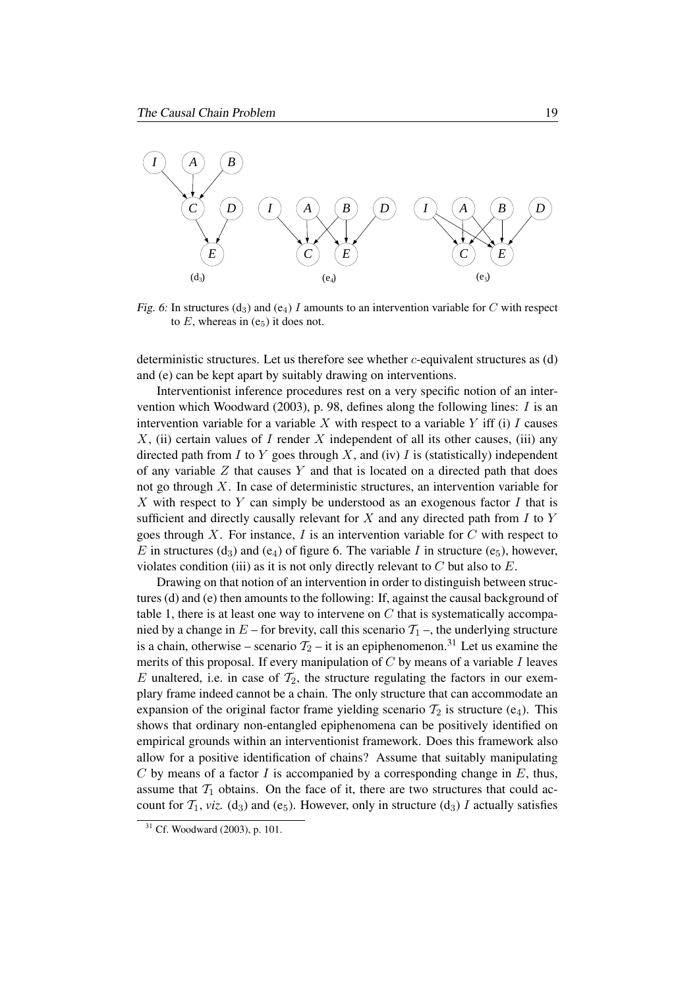

Fig. 6: In structures (d<sub>3</sub>) and (e<sub>4</sub>) I amounts to an intervention variable for C with respect to  $E$ , whereas in  $(e_5)$  it does not.

deterministic structures. Let us therefore see whether  $c$ -equivalent structures as  $(d)$ and (e) can be kept apart by suitably drawing on interventions.

Interventionist inference procedures rest on a very specific notion of an intervention which Woodward (2003), p. 98, defines along the following lines:  $I$  is an intervention variable for a variable  $X$  with respect to a variable  $Y$  iff (i)  $I$  causes  $X$ , (ii) certain values of I render X independent of all its other causes, (iii) any directed path from  $I$  to  $Y$  goes through  $X$ , and (iv)  $I$  is (statistically) independent of any variable  $Z$  that causes Y and that is located on a directed path that does not go through  $X$ . In case of deterministic structures, an intervention variable for  $X$  with respect to  $Y$  can simply be understood as an exogenous factor  $I$  that is sufficient and directly causally relevant for  $X$  and any directed path from  $I$  to  $Y$ goes through X. For instance, I is an intervention variable for  $C$  with respect to E in structures (d<sub>3</sub>) and (e<sub>4</sub>) of figure 6. The variable I in structure (e<sub>5</sub>), however, violates condition (iii) as it is not only directly relevant to  $C$  but also to  $E$ .

Drawing on that notion of an intervention in order to distinguish between structures (d) and (e) then amounts to the following: If, against the causal background of table 1, there is at least one way to intervene on  $C$  that is systematically accompanied by a change in  $E$  – for brevity, call this scenario  $\mathcal{T}_1$  –, the underlying structure is a chain, otherwise – scenario  $T_2$  – it is an epiphenomenon.<sup>31</sup> Let us examine the merits of this proposal. If every manipulation of  $C$  by means of a variable  $I$  leaves E unaltered, i.e. in case of  $\mathcal{T}_2$ , the structure regulating the factors in our exemplary frame indeed cannot be a chain. The only structure that can accommodate an expansion of the original factor frame yielding scenario  $T_2$  is structure (e<sub>4</sub>). This shows that ordinary non-entangled epiphenomena can be positively identified on empirical grounds within an interventionist framework. Does this framework also allow for a positive identification of chains? Assume that suitably manipulating C by means of a factor I is accompanied by a corresponding change in  $E$ , thus, assume that  $T_1$  obtains. On the face of it, there are two structures that could account for  $T_1$ , *viz.* (d<sub>3</sub>) and (e<sub>5</sub>). However, only in structure (d<sub>3</sub>) I actually satisfies

<sup>31</sup> Cf. Woodward (2003), p. 101.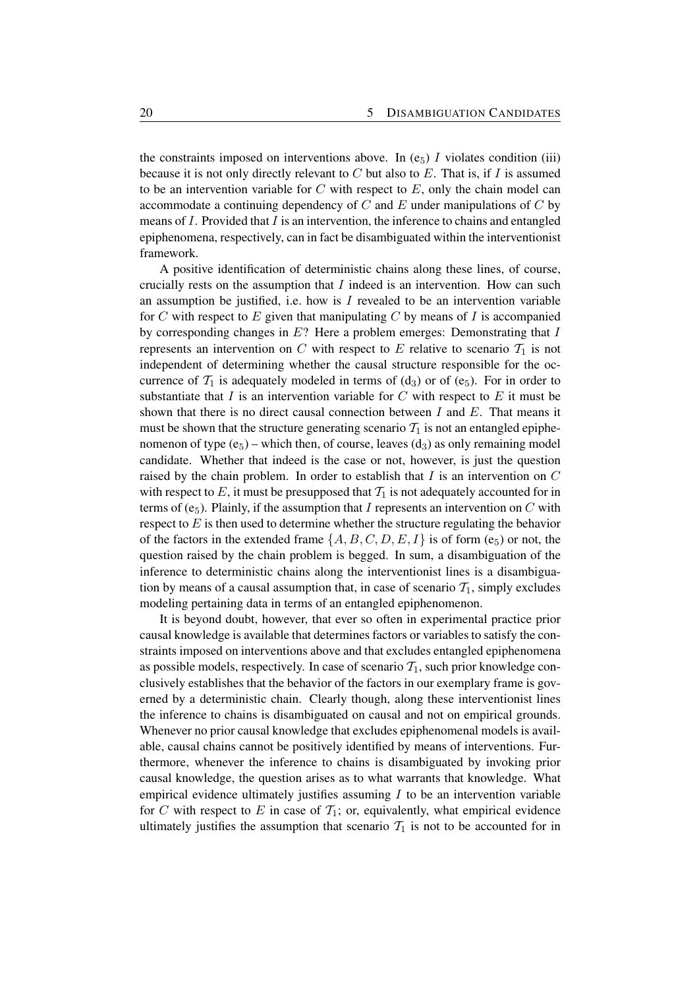the constraints imposed on interventions above. In  $(e_5)$  I violates condition (iii) because it is not only directly relevant to  $C$  but also to  $E$ . That is, if  $I$  is assumed to be an intervention variable for  $C$  with respect to  $E$ , only the chain model can accommodate a continuing dependency of  $C$  and  $E$  under manipulations of  $C$  by means of  $I$ . Provided that  $I$  is an intervention, the inference to chains and entangled epiphenomena, respectively, can in fact be disambiguated within the interventionist framework.

A positive identification of deterministic chains along these lines, of course, crucially rests on the assumption that  $I$  indeed is an intervention. How can such an assumption be justified, i.e. how is  $I$  revealed to be an intervention variable for C with respect to E given that manipulating C by means of I is accompanied by corresponding changes in  $E$ ? Here a problem emerges: Demonstrating that  $I$ represents an intervention on C with respect to E relative to scenario  $\mathcal{T}_1$  is not independent of determining whether the causal structure responsible for the occurrence of  $\mathcal{T}_1$  is adequately modeled in terms of (d<sub>3</sub>) or of (e<sub>5</sub>). For in order to substantiate that  $I$  is an intervention variable for  $C$  with respect to  $E$  it must be shown that there is no direct causal connection between  $I$  and  $E$ . That means it must be shown that the structure generating scenario  $\mathcal{T}_1$  is not an entangled epiphenomenon of type  $(e_5)$  – which then, of course, leaves  $(d_3)$  as only remaining model candidate. Whether that indeed is the case or not, however, is just the question raised by the chain problem. In order to establish that  $I$  is an intervention on  $C$ with respect to  $E$ , it must be presupposed that  $\mathcal{T}_1$  is not adequately accounted for in terms of  $(e_5)$ . Plainly, if the assumption that I represents an intervention on C with respect to  $E$  is then used to determine whether the structure regulating the behavior of the factors in the extended frame  $\{A, B, C, D, E, I\}$  is of form (e<sub>5</sub>) or not, the question raised by the chain problem is begged. In sum, a disambiguation of the inference to deterministic chains along the interventionist lines is a disambiguation by means of a causal assumption that, in case of scenario  $T_1$ , simply excludes modeling pertaining data in terms of an entangled epiphenomenon.

It is beyond doubt, however, that ever so often in experimental practice prior causal knowledge is available that determines factors or variables to satisfy the constraints imposed on interventions above and that excludes entangled epiphenomena as possible models, respectively. In case of scenario  $\mathcal{T}_1$ , such prior knowledge conclusively establishes that the behavior of the factors in our exemplary frame is governed by a deterministic chain. Clearly though, along these interventionist lines the inference to chains is disambiguated on causal and not on empirical grounds. Whenever no prior causal knowledge that excludes epiphenomenal models is available, causal chains cannot be positively identified by means of interventions. Furthermore, whenever the inference to chains is disambiguated by invoking prior causal knowledge, the question arises as to what warrants that knowledge. What empirical evidence ultimately justifies assuming  $I$  to be an intervention variable for C with respect to E in case of  $\mathcal{T}_1$ ; or, equivalently, what empirical evidence ultimately justifies the assumption that scenario  $\mathcal{T}_1$  is not to be accounted for in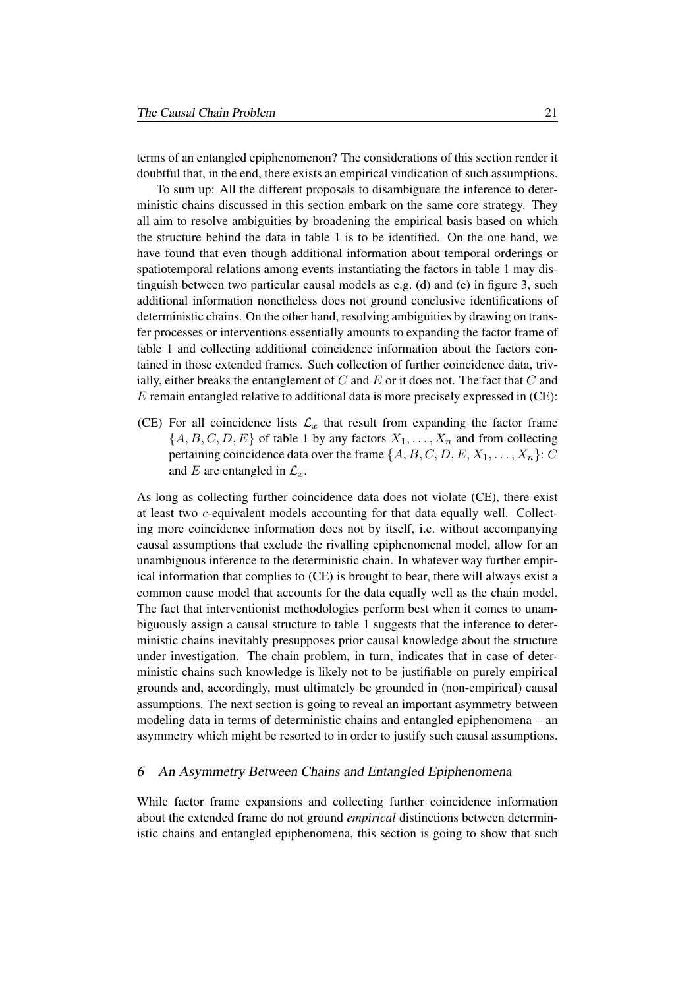terms of an entangled epiphenomenon? The considerations of this section render it doubtful that, in the end, there exists an empirical vindication of such assumptions.

To sum up: All the different proposals to disambiguate the inference to deterministic chains discussed in this section embark on the same core strategy. They all aim to resolve ambiguities by broadening the empirical basis based on which the structure behind the data in table 1 is to be identified. On the one hand, we have found that even though additional information about temporal orderings or spatiotemporal relations among events instantiating the factors in table 1 may distinguish between two particular causal models as e.g. (d) and (e) in figure 3, such additional information nonetheless does not ground conclusive identifications of deterministic chains. On the other hand, resolving ambiguities by drawing on transfer processes or interventions essentially amounts to expanding the factor frame of table 1 and collecting additional coincidence information about the factors contained in those extended frames. Such collection of further coincidence data, trivially, either breaks the entanglement of  $C$  and  $E$  or it does not. The fact that  $C$  and E remain entangled relative to additional data is more precisely expressed in (CE):

(CE) For all coincidence lists  $\mathcal{L}_x$  that result from expanding the factor frame  $\{A, B, C, D, E\}$  of table 1 by any factors  $X_1, \ldots, X_n$  and from collecting pertaining coincidence data over the frame  $\{A, B, C, D, E, X_1, \ldots, X_n\}$ : C and E are entangled in  $\mathcal{L}_x$ .

As long as collecting further coincidence data does not violate (CE), there exist at least two c-equivalent models accounting for that data equally well. Collecting more coincidence information does not by itself, i.e. without accompanying causal assumptions that exclude the rivalling epiphenomenal model, allow for an unambiguous inference to the deterministic chain. In whatever way further empirical information that complies to (CE) is brought to bear, there will always exist a common cause model that accounts for the data equally well as the chain model. The fact that interventionist methodologies perform best when it comes to unambiguously assign a causal structure to table 1 suggests that the inference to deterministic chains inevitably presupposes prior causal knowledge about the structure under investigation. The chain problem, in turn, indicates that in case of deterministic chains such knowledge is likely not to be justifiable on purely empirical grounds and, accordingly, must ultimately be grounded in (non-empirical) causal assumptions. The next section is going to reveal an important asymmetry between modeling data in terms of deterministic chains and entangled epiphenomena – an asymmetry which might be resorted to in order to justify such causal assumptions.

#### 6 An Asymmetry Between Chains and Entangled Epiphenomena

While factor frame expansions and collecting further coincidence information about the extended frame do not ground *empirical* distinctions between deterministic chains and entangled epiphenomena, this section is going to show that such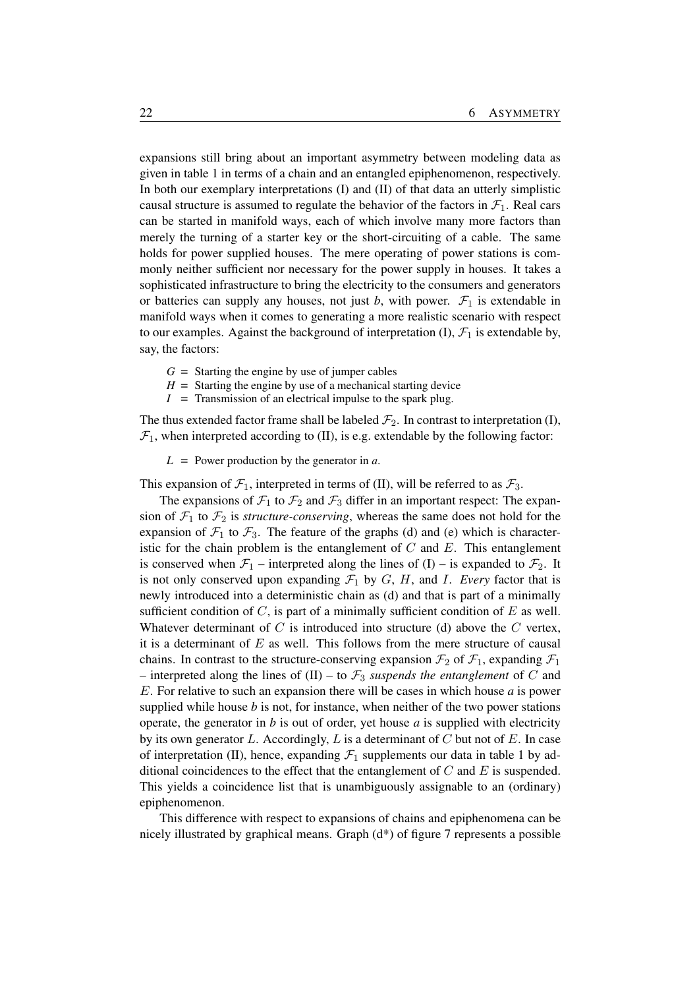expansions still bring about an important asymmetry between modeling data as given in table 1 in terms of a chain and an entangled epiphenomenon, respectively. In both our exemplary interpretations (I) and (II) of that data an utterly simplistic causal structure is assumed to regulate the behavior of the factors in  $\mathcal{F}_1$ . Real cars can be started in manifold ways, each of which involve many more factors than merely the turning of a starter key or the short-circuiting of a cable. The same holds for power supplied houses. The mere operating of power stations is commonly neither sufficient nor necessary for the power supply in houses. It takes a sophisticated infrastructure to bring the electricity to the consumers and generators or batteries can supply any houses, not just *b*, with power.  $\mathcal{F}_1$  is extendable in manifold ways when it comes to generating a more realistic scenario with respect to our examples. Against the background of interpretation  $(I)$ ,  $\mathcal{F}_1$  is extendable by, say, the factors:

- $G =$  Starting the engine by use of jumper cables
- $H =$  Starting the engine by use of a mechanical starting device
- $I =$  Transmission of an electrical impulse to the spark plug.

The thus extended factor frame shall be labeled  $\mathcal{F}_2$ . In contrast to interpretation (I),  $\mathcal{F}_1$ , when interpreted according to (II), is e.g. extendable by the following factor:

*L* = Power production by the generator in *a*.

This expansion of  $\mathcal{F}_1$ , interpreted in terms of (II), will be referred to as  $\mathcal{F}_3$ .

The expansions of  $\mathcal{F}_1$  to  $\mathcal{F}_2$  and  $\mathcal{F}_3$  differ in an important respect: The expansion of  $\mathcal{F}_1$  to  $\mathcal{F}_2$  is *structure-conserving*, whereas the same does not hold for the expansion of  $\mathcal{F}_1$  to  $\mathcal{F}_3$ . The feature of the graphs (d) and (e) which is characteristic for the chain problem is the entanglement of  $C$  and  $E$ . This entanglement is conserved when  $\mathcal{F}_1$  – interpreted along the lines of (I) – is expanded to  $\mathcal{F}_2$ . It is not only conserved upon expanding  $\mathcal{F}_1$  by  $G$ ,  $H$ , and  $I$ . *Every* factor that is newly introduced into a deterministic chain as (d) and that is part of a minimally sufficient condition of  $C$ , is part of a minimally sufficient condition of  $E$  as well. Whatever determinant of C is introduced into structure (d) above the C vertex, it is a determinant of  $E$  as well. This follows from the mere structure of causal chains. In contrast to the structure-conserving expansion  $\mathcal{F}_2$  of  $\mathcal{F}_1$ , expanding  $\mathcal{F}_1$ – interpreted along the lines of  $(II)$  – to  $\mathcal{F}_3$  *suspends the entanglement* of C and E. For relative to such an expansion there will be cases in which house *a* is power supplied while house *b* is not, for instance, when neither of the two power stations operate, the generator in *b* is out of order, yet house *a* is supplied with electricity by its own generator L. Accordingly, L is a determinant of C but not of E. In case of interpretation (II), hence, expanding  $\mathcal{F}_1$  supplements our data in table 1 by additional coincidences to the effect that the entanglement of  $C$  and  $E$  is suspended. This yields a coincidence list that is unambiguously assignable to an (ordinary) epiphenomenon.

This difference with respect to expansions of chains and epiphenomena can be nicely illustrated by graphical means. Graph (d\*) of figure 7 represents a possible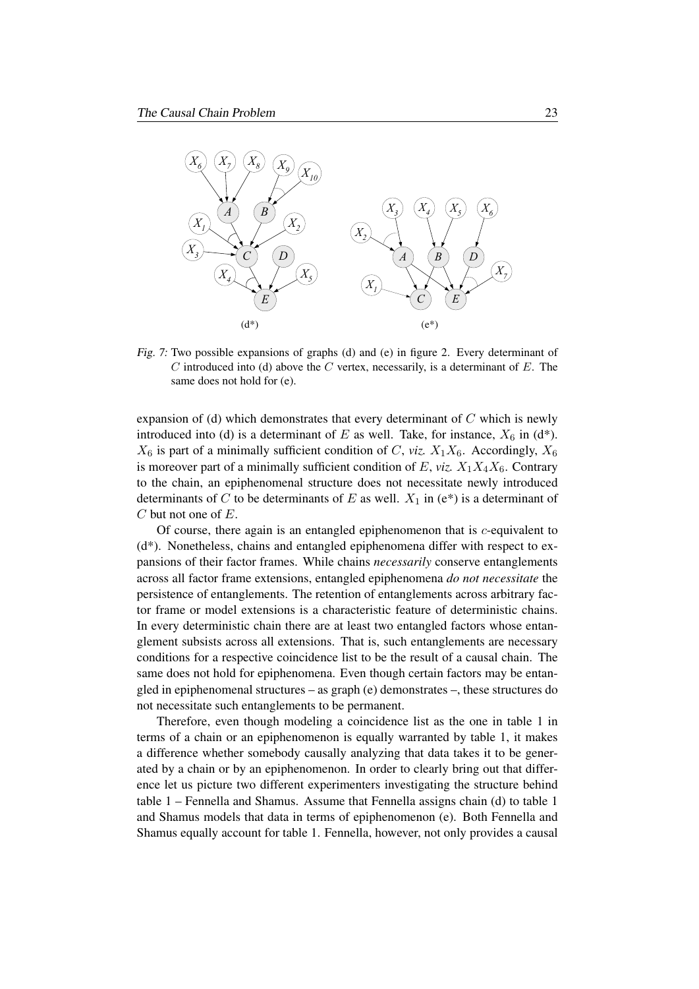

Fig. 7: Two possible expansions of graphs (d) and (e) in figure 2. Every determinant of  $C$  introduced into (d) above the  $C$  vertex, necessarily, is a determinant of  $E$ . The same does not hold for (e).

expansion of (d) which demonstrates that every determinant of C which is newly introduced into (d) is a determinant of E as well. Take, for instance,  $X_6$  in (d\*).  $X_6$  is part of a minimally sufficient condition of C, *viz.*  $X_1X_6$ . Accordingly,  $X_6$ is moreover part of a minimally sufficient condition of  $E$ , *viz.*  $X_1X_4X_6$ . Contrary to the chain, an epiphenomenal structure does not necessitate newly introduced determinants of C to be determinants of E as well.  $X_1$  in (e\*) is a determinant of C but not one of E.

Of course, there again is an entangled epiphenomenon that is c-equivalent to (d\*). Nonetheless, chains and entangled epiphenomena differ with respect to expansions of their factor frames. While chains *necessarily* conserve entanglements across all factor frame extensions, entangled epiphenomena *do not necessitate* the persistence of entanglements. The retention of entanglements across arbitrary factor frame or model extensions is a characteristic feature of deterministic chains. In every deterministic chain there are at least two entangled factors whose entanglement subsists across all extensions. That is, such entanglements are necessary conditions for a respective coincidence list to be the result of a causal chain. The same does not hold for epiphenomena. Even though certain factors may be entangled in epiphenomenal structures – as graph (e) demonstrates –, these structures do not necessitate such entanglements to be permanent.

Therefore, even though modeling a coincidence list as the one in table 1 in terms of a chain or an epiphenomenon is equally warranted by table 1, it makes a difference whether somebody causally analyzing that data takes it to be generated by a chain or by an epiphenomenon. In order to clearly bring out that difference let us picture two different experimenters investigating the structure behind table 1 – Fennella and Shamus. Assume that Fennella assigns chain (d) to table 1 and Shamus models that data in terms of epiphenomenon (e). Both Fennella and Shamus equally account for table 1. Fennella, however, not only provides a causal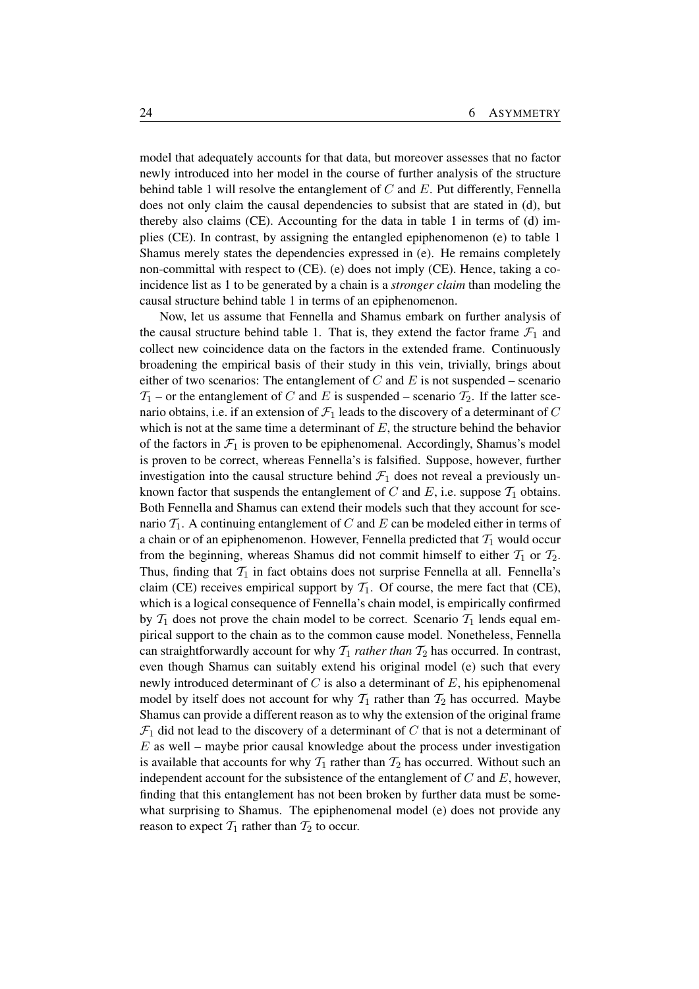model that adequately accounts for that data, but moreover assesses that no factor newly introduced into her model in the course of further analysis of the structure behind table 1 will resolve the entanglement of  $C$  and  $E$ . Put differently, Fennella does not only claim the causal dependencies to subsist that are stated in (d), but thereby also claims (CE). Accounting for the data in table 1 in terms of (d) implies (CE). In contrast, by assigning the entangled epiphenomenon (e) to table 1 Shamus merely states the dependencies expressed in (e). He remains completely non-committal with respect to (CE). (e) does not imply (CE). Hence, taking a coincidence list as 1 to be generated by a chain is a *stronger claim* than modeling the causal structure behind table 1 in terms of an epiphenomenon.

Now, let us assume that Fennella and Shamus embark on further analysis of the causal structure behind table 1. That is, they extend the factor frame  $\mathcal{F}_1$  and collect new coincidence data on the factors in the extended frame. Continuously broadening the empirical basis of their study in this vein, trivially, brings about either of two scenarios: The entanglement of  $C$  and  $E$  is not suspended – scenario  $T_1$  – or the entanglement of C and E is suspended – scenario  $T_2$ . If the latter scenario obtains, i.e. if an extension of  $\mathcal{F}_1$  leads to the discovery of a determinant of C which is not at the same time a determinant of  $E$ , the structure behind the behavior of the factors in  $\mathcal{F}_1$  is proven to be epiphenomenal. Accordingly, Shamus's model is proven to be correct, whereas Fennella's is falsified. Suppose, however, further investigation into the causal structure behind  $\mathcal{F}_1$  does not reveal a previously unknown factor that suspends the entanglement of C and E, i.e. suppose  $\mathcal{T}_1$  obtains. Both Fennella and Shamus can extend their models such that they account for scenario  $\mathcal{T}_1$ . A continuing entanglement of C and E can be modeled either in terms of a chain or of an epiphenomenon. However, Fennella predicted that  $T_1$  would occur from the beginning, whereas Shamus did not commit himself to either  $T_1$  or  $T_2$ . Thus, finding that  $\mathcal{T}_1$  in fact obtains does not surprise Fennella at all. Fennella's claim (CE) receives empirical support by  $T_1$ . Of course, the mere fact that (CE), which is a logical consequence of Fennella's chain model, is empirically confirmed by  $T_1$  does not prove the chain model to be correct. Scenario  $T_1$  lends equal empirical support to the chain as to the common cause model. Nonetheless, Fennella can straightforwardly account for why  $T_1$  *rather than*  $T_2$  has occurred. In contrast, even though Shamus can suitably extend his original model (e) such that every newly introduced determinant of  $C$  is also a determinant of  $E$ , his epiphenomenal model by itself does not account for why  $T_1$  rather than  $T_2$  has occurred. Maybe Shamus can provide a different reason as to why the extension of the original frame  $\mathcal{F}_1$  did not lead to the discovery of a determinant of C that is not a determinant of  $E$  as well – maybe prior causal knowledge about the process under investigation is available that accounts for why  $T_1$  rather than  $T_2$  has occurred. Without such an independent account for the subsistence of the entanglement of  $C$  and  $E$ , however, finding that this entanglement has not been broken by further data must be somewhat surprising to Shamus. The epiphenomenal model (e) does not provide any reason to expect  $\mathcal{T}_1$  rather than  $\mathcal{T}_2$  to occur.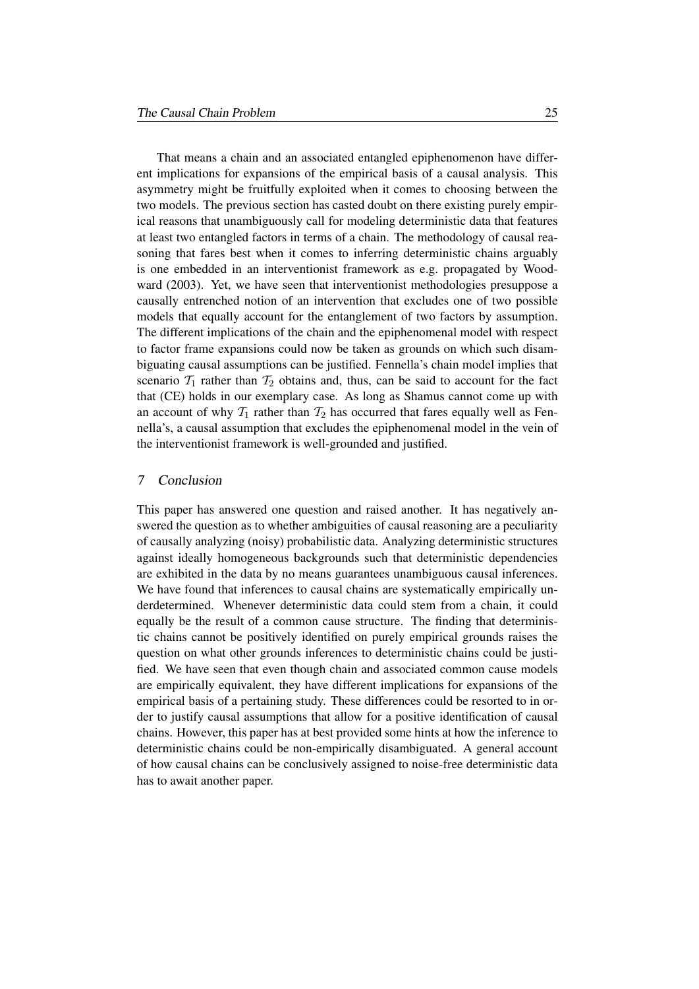That means a chain and an associated entangled epiphenomenon have different implications for expansions of the empirical basis of a causal analysis. This asymmetry might be fruitfully exploited when it comes to choosing between the two models. The previous section has casted doubt on there existing purely empirical reasons that unambiguously call for modeling deterministic data that features at least two entangled factors in terms of a chain. The methodology of causal reasoning that fares best when it comes to inferring deterministic chains arguably is one embedded in an interventionist framework as e.g. propagated by Woodward (2003). Yet, we have seen that interventionist methodologies presuppose a causally entrenched notion of an intervention that excludes one of two possible models that equally account for the entanglement of two factors by assumption. The different implications of the chain and the epiphenomenal model with respect to factor frame expansions could now be taken as grounds on which such disambiguating causal assumptions can be justified. Fennella's chain model implies that scenario  $T_1$  rather than  $T_2$  obtains and, thus, can be said to account for the fact that (CE) holds in our exemplary case. As long as Shamus cannot come up with an account of why  $T_1$  rather than  $T_2$  has occurred that fares equally well as Fennella's, a causal assumption that excludes the epiphenomenal model in the vein of the interventionist framework is well-grounded and justified.

## 7 Conclusion

This paper has answered one question and raised another. It has negatively answered the question as to whether ambiguities of causal reasoning are a peculiarity of causally analyzing (noisy) probabilistic data. Analyzing deterministic structures against ideally homogeneous backgrounds such that deterministic dependencies are exhibited in the data by no means guarantees unambiguous causal inferences. We have found that inferences to causal chains are systematically empirically underdetermined. Whenever deterministic data could stem from a chain, it could equally be the result of a common cause structure. The finding that deterministic chains cannot be positively identified on purely empirical grounds raises the question on what other grounds inferences to deterministic chains could be justified. We have seen that even though chain and associated common cause models are empirically equivalent, they have different implications for expansions of the empirical basis of a pertaining study. These differences could be resorted to in order to justify causal assumptions that allow for a positive identification of causal chains. However, this paper has at best provided some hints at how the inference to deterministic chains could be non-empirically disambiguated. A general account of how causal chains can be conclusively assigned to noise-free deterministic data has to await another paper.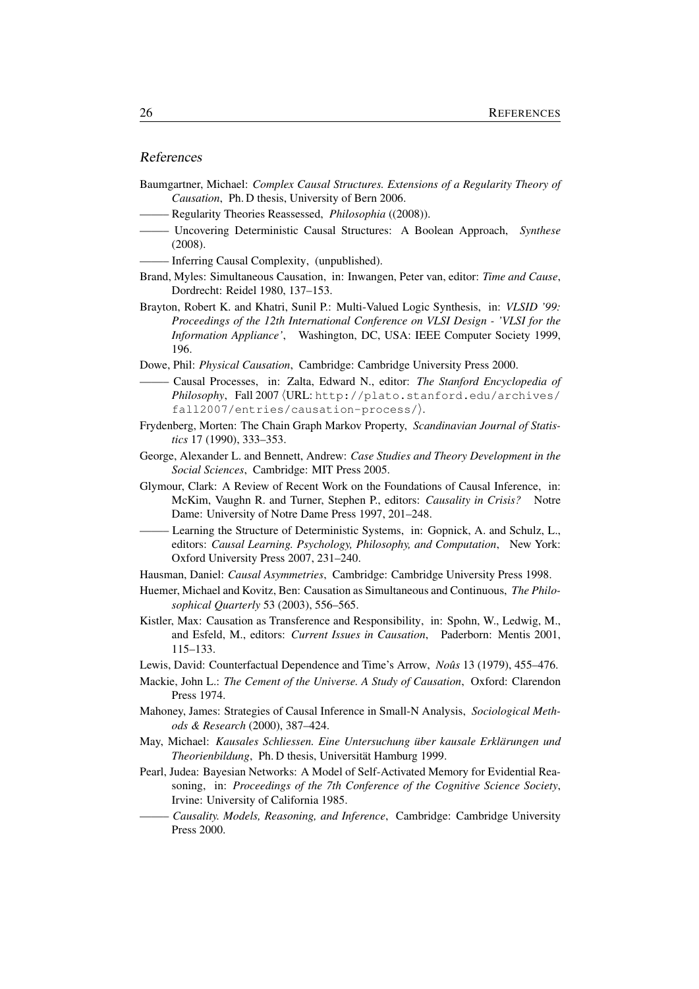## References

| Baumgartner, Michael: Complex Causal Structures. Extensions of a Regularity Theory of<br>Causation, Ph. D thesis, University of Bern 2006.                                                                                                                   |
|--------------------------------------------------------------------------------------------------------------------------------------------------------------------------------------------------------------------------------------------------------------|
|                                                                                                                                                                                                                                                              |
| - Uncovering Deterministic Causal Structures: A Boolean Approach,<br>Synthese<br>(2008).                                                                                                                                                                     |
|                                                                                                                                                                                                                                                              |
| Brand, Myles: Simultaneous Causation, in: Inwangen, Peter van, editor: Time and Cause,<br>Dordrecht: Reidel 1980, 137-153.                                                                                                                                   |
| Brayton, Robert K. and Khatri, Sunil P.: Multi-Valued Logic Synthesis, in: VLSID '99:<br>Proceedings of the 12th International Conference on VLSI Design - 'VLSI for the<br>Information Appliance', Washington, DC, USA: IEEE Computer Society 1999,<br>196. |
| Dowe, Phil: Physical Causation, Cambridge: Cambridge University Press 2000.                                                                                                                                                                                  |
| Causal Processes, in: Zalta, Edward N., editor: The Stanford Encyclopedia of<br>Philosophy, Fall 2007 (URL: http://plato.stanford.edu/archives/<br>$fall2007/entries/caussian-process/$ .                                                                    |
| Frydenberg, Morten: The Chain Graph Markov Property, Scandinavian Journal of Statis-<br>tics 17 (1990), 333-353.                                                                                                                                             |
| George, Alexander L. and Bennett, Andrew: Case Studies and Theory Development in the<br>Social Sciences, Cambridge: MIT Press 2005.                                                                                                                          |
| Glymour, Clark: A Review of Recent Work on the Foundations of Causal Inference, in:<br>McKim, Vaughn R. and Turner, Stephen P., editors: Causality in Crisis?<br>Notre<br>Dame: University of Notre Dame Press 1997, 201-248.                                |
| - Learning the Structure of Deterministic Systems, in: Gopnick, A. and Schulz, L.,<br>editors: Causal Learning. Psychology, Philosophy, and Computation, New York:<br>Oxford University Press 2007, 231-240.                                                 |
| Hausman, Daniel: Causal Asymmetries, Cambridge: Cambridge University Press 1998.                                                                                                                                                                             |
| Huemer, Michael and Kovitz, Ben: Causation as Simultaneous and Continuous, The Philo-<br>sophical Quarterly 53 (2003), 556-565.                                                                                                                              |
| Kistler, Max: Causation as Transference and Responsibility, in: Spohn, W., Ledwig, M.,<br>and Esfeld, M., editors: Current Issues in Causation, Paderborn: Mentis 2001,<br>$115 - 133.$                                                                      |
| Lewis, David: Counterfactual Dependence and Time's Arrow, Noûs 13 (1979), 455–476.                                                                                                                                                                           |
| Mackie, John L.: The Cement of the Universe. A Study of Causation, Oxford: Clarendon<br>Press 1974.                                                                                                                                                          |
| Mahoney, James: Strategies of Causal Inference in Small-N Analysis, Sociological Meth-<br>ods & Research (2000), 387-424.                                                                                                                                    |
| May, Michael: Kausales Schliessen. Eine Untersuchung über kausale Erklärungen und<br>Theorienbildung, Ph. D thesis, Universität Hamburg 1999.                                                                                                                |
| Pearl, Judea: Bayesian Networks: A Model of Self-Activated Memory for Evidential Rea-<br>soning, in: Proceedings of the 7th Conference of the Cognitive Science Society,<br>Irvine: University of California 1985.                                           |
| - Causality. Models, Reasoning, and Inference, Cambridge: Cambridge University<br>Press 2000.                                                                                                                                                                |